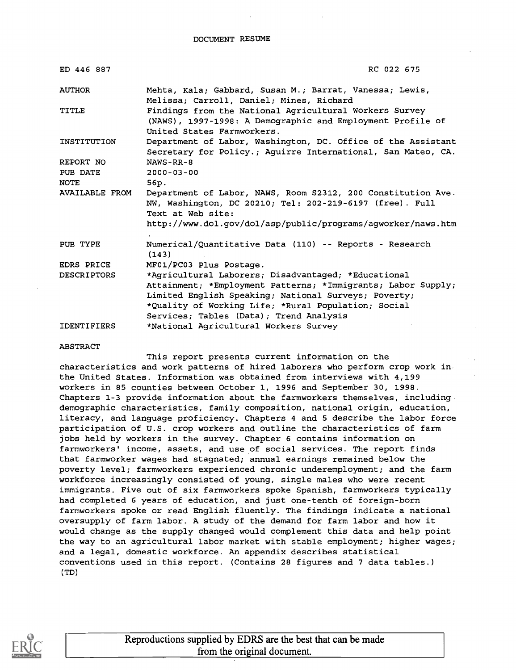DOCUMENT RESUME

| ED 446 887         | RC 022 675                                                                                                                                                                                                                                                                    |
|--------------------|-------------------------------------------------------------------------------------------------------------------------------------------------------------------------------------------------------------------------------------------------------------------------------|
| <b>AUTHOR</b>      | Mehta, Kala; Gabbard, Susan M.; Barrat, Vanessa; Lewis,<br>Melissa; Carroll, Daniel; Mines, Richard                                                                                                                                                                           |
| TITLE              | Findings from the National Agricultural Workers Survey<br>(NAWS), 1997-1998: A Demographic and Employment Profile of<br>United States Farmworkers.                                                                                                                            |
| INSTITUTION        | Department of Labor, Washington, DC. Office of the Assistant<br>Secretary for Policy.; Aguirre International, San Mateo, CA.                                                                                                                                                  |
| REPORT NO          | $NANS - RR - 8$                                                                                                                                                                                                                                                               |
| PUB DATE           | $2000 - 03 - 00$                                                                                                                                                                                                                                                              |
| <b>NOTE</b>        | 56p.                                                                                                                                                                                                                                                                          |
| AVAILABLE FROM     | Department of Labor, NAWS, Room S2312, 200 Constitution Ave.<br>NW, Washington, DC 20210; Tel: 202-219-6197 (free). Full<br>Text at Web site:<br>http://www.dol.gov/dol/asp/public/programs/agworker/naws.htm                                                                 |
|                    |                                                                                                                                                                                                                                                                               |
| PUB TYPE           | Numerical/Quantitative Data (110) -- Reports - Research<br>(143)                                                                                                                                                                                                              |
| <b>EDRS PRICE</b>  | MF01/PC03 Plus Postage.                                                                                                                                                                                                                                                       |
| <b>DESCRIPTORS</b> | *Agricultural Laborers; Disadvantaged; *Educational<br>Attainment; *Employment Patterns; *Immigrants; Labor Supply;<br>Limited English Speaking; National Surveys; Poverty;<br>*Quality of Working Life; *Rural Population; Social<br>Services; Tables (Data); Trend Analysis |
| <b>IDENTIFIERS</b> | *National Agricultural Workers Survey                                                                                                                                                                                                                                         |

#### ABSTRACT

This report presents current information on the characteristics and work patterns of hired laborers who perform crop work in the United States. Information was obtained from interviews with 4,199 workers in 85 counties between October 1, 1996 and September 30, 1998. Chapters 1-3 provide information about the farmworkers themselves, including demographic characteristics, family composition, national origin, education, literacy, and language proficiency. Chapters 4 and 5 describe the labor force participation of U.S. crop workers and outline the characteristics of farm jobs held by workers in the survey. Chapter 6 contains information on farmworkers' income, assets, and use of social services. The report finds that farmworker wages had stagnated; annual earnings remained below the poverty level; farmworkers experienced chronic underemployment; and the farm workforce increasingly consisted of young, single males who were recent immigrants. Five out of six farmworkers spoke Spanish, farmworkers typically had completed 6 years of education, and just one-tenth of foreign-born farmworkers spoke or read English fluently. The findings indicate a national oversupply of farm labor. A study of the demand for farm labor and how it would change as the supply changed would complement this data and help point the way to an agricultural labor market with stable employment; higher wages; and a legal, domestic workforce. An appendix describes statistical conventions used in this report. (Contains 28 figures and 7 data tables.) (TD)

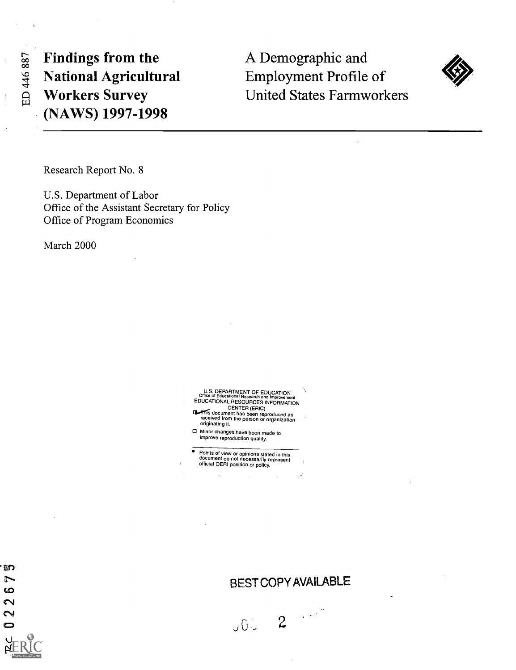ED 446 887

Findings from the National Agricultural Workers Survey (NAWS) 1997-1998

A Demographic and Employment Profile of United States Farmworkers



Research Report No. 8

U.S. Department of Labor Office of the Assistant Secretary for Policy Office of Program Economics

March 2000

U.S. DEPARTMENT OF EDUCATION<br>Office of Educational Research and Improvement Office of Educational Research and Improvement<br>
EDUCATIONAL RESOURCES INFORMATION<br>
CENTER (ERIC)<br>
This document has been reproduced as<br>
received from the person or organization

originating it. Minor changes have been made to improve reproduction quality.

Points of view or opinions stated in this<br>document do not necessarily represent<br>official OERI position or policy.

奶  $\overline{r}$ ဖ  $\sim$  $\sim$  $\bullet$ 

BEST COPY AVAILABLE

**2**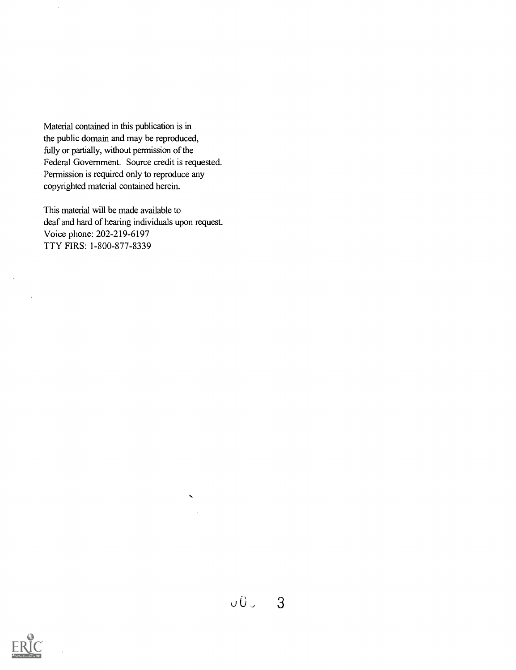Material contained in this publication is in the public domain and may be reproduced, fully or partially, without permission of the Federal Government. Source credit is requested. Permission is required only to reproduce any copyrighted material contained herein.

This material will be made available to deaf and hard of hearing individuals upon request. Voice phone: 202-219-6197 TTY FIRS: 1-800-877-8339



 $\bar{\mathbf{v}}$ 



 $\mathcal{A}^{\mathcal{A}}$ 

 $\hat{\boldsymbol{\beta}}$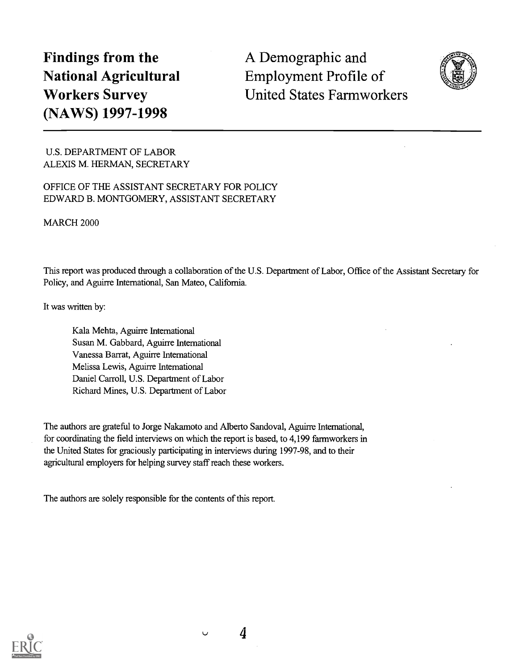# Findings from the National Agricultural Workers Survey (NAWS) 1997-1998

A Demographic and Employment Profile of United States Farmworkers



U.S. DEPARTMENT OF LABOR ALEXIS M. HERMAN, SECRETARY

# OFFICE OF THE ASSISTANT SECRETARY FOR POLICY EDWARD B. MONTGOMERY, ASSISTANT SECRETARY

MARCH 2000

This report was produced through a collaboration of the U.S. Department of Labor, Office of the Assistant Secretary for Policy, and Aguirre International, San Mateo, California.

It was written by:

Kala Mehta, Aguirre International Susan M. Gabbard, Aguirre International Vanessa Barrat, Aguirre International Melissa Lewis, Aguirre International Daniel Carroll, U.S. Department of Labor Richard Mines, U.S. Department of Labor

The authors are grateful to Jorge Nalcamoto and Alberto Sandoval, Aguirre International, for coordinating the field interviews on which the report is based, to 4,199 farmworkers in the United States for graciously participating in interviews during 1997-98, and to their agricultural employers for helping survey staff reach these workers.

The authors are solely responsible for the contents of this report.



 $\cup$ 

4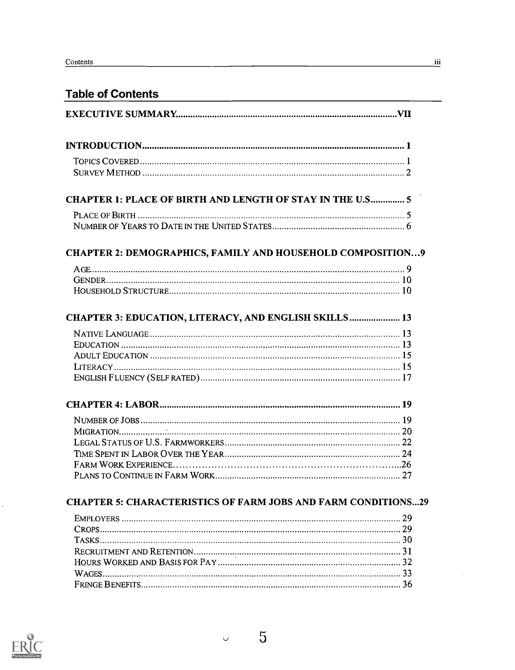| <b>CHAPTER 1: PLACE OF BIRTH AND LENGTH OF STAY IN THE U.S 5</b>     |  |
|----------------------------------------------------------------------|--|
|                                                                      |  |
|                                                                      |  |
| <b>CHAPTER 2: DEMOGRAPHICS, FAMILY AND HOUSEHOLD COMPOSITION9</b>    |  |
|                                                                      |  |
|                                                                      |  |
|                                                                      |  |
| CHAPTER 3: EDUCATION, LITERACY, AND ENGLISH SKILLS 13                |  |
|                                                                      |  |
|                                                                      |  |
|                                                                      |  |
|                                                                      |  |
|                                                                      |  |
|                                                                      |  |
|                                                                      |  |
|                                                                      |  |
|                                                                      |  |
|                                                                      |  |
|                                                                      |  |
|                                                                      |  |
|                                                                      |  |
| <b>CHAPTER 5: CHARACTERISTICS OF FARM JOBS AND FARM CONDITIONS29</b> |  |
|                                                                      |  |
|                                                                      |  |
|                                                                      |  |
|                                                                      |  |
|                                                                      |  |
|                                                                      |  |
|                                                                      |  |

5

 $\downarrow$ 



ł,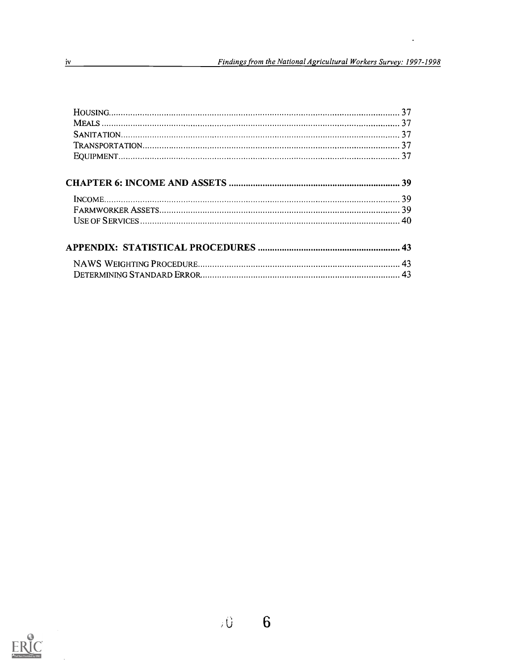$\sim$ 



 $\bar{z}$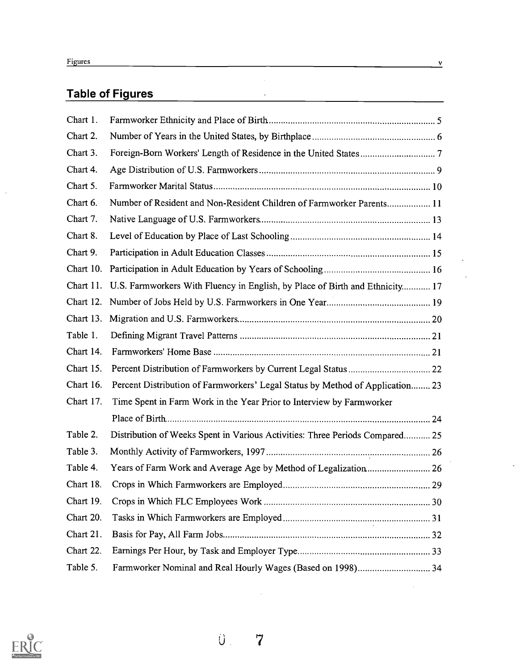$\mathcal{A}^{\mathcal{A}}$ 

# Table of Figures

| Chart 1.  |                                                                               |  |
|-----------|-------------------------------------------------------------------------------|--|
| Chart 2.  |                                                                               |  |
| Chart 3.  |                                                                               |  |
| Chart 4.  |                                                                               |  |
| Chart 5.  |                                                                               |  |
| Chart 6.  | Number of Resident and Non-Resident Children of Farmworker Parents 11         |  |
| Chart 7.  |                                                                               |  |
| Chart 8.  |                                                                               |  |
| Chart 9.  |                                                                               |  |
| Chart 10. |                                                                               |  |
| Chart 11. | U.S. Farmworkers With Fluency in English, by Place of Birth and Ethnicity 17  |  |
| Chart 12. |                                                                               |  |
| Chart 13. |                                                                               |  |
| Table 1.  |                                                                               |  |
| Chart 14. |                                                                               |  |
| Chart 15. |                                                                               |  |
| Chart 16. | Percent Distribution of Farmworkers' Legal Status by Method of Application 23 |  |
| Chart 17. | Time Spent in Farm Work in the Year Prior to Interview by Farmworker          |  |
|           |                                                                               |  |
| Table 2.  | Distribution of Weeks Spent in Various Activities: Three Periods Compared 25  |  |
| Table 3.  |                                                                               |  |
| Table 4.  |                                                                               |  |
| Chart 18. |                                                                               |  |
| Chart 19. |                                                                               |  |
| Chart 20. |                                                                               |  |
| Chart 21. |                                                                               |  |
| Chart 22. |                                                                               |  |
| Table 5.  |                                                                               |  |
|           |                                                                               |  |

 $\hat{\mathcal{A}}$  $\hat{\mathcal{A}}$ 



 $\hat{\mathbf{U}}$  . 7

 $\mathcal{L}_{\mathcal{A}}$ 

J.

 $\mathcal{A}$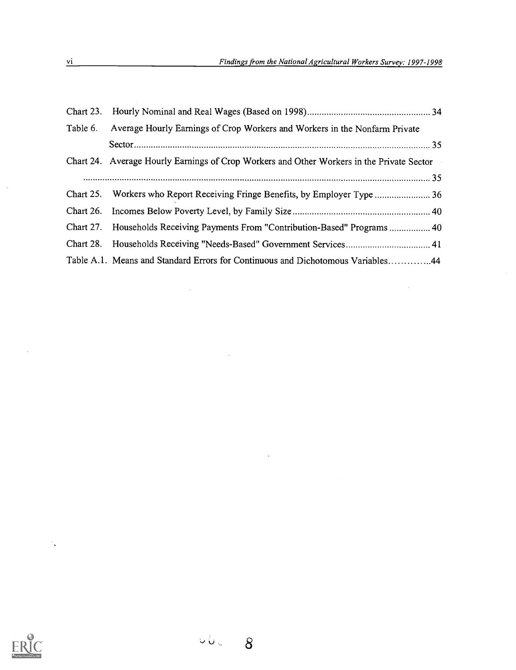$\mathcal{L}^{\text{max}}_{\text{max}}$  ,  $\mathcal{L}^{\text{max}}_{\text{max}}$ 

| Table 6.  | Average Hourly Earnings of Crop Workers and Workers in the Nonfarm Private                |
|-----------|-------------------------------------------------------------------------------------------|
|           |                                                                                           |
|           | Chart 24. Average Hourly Earnings of Crop Workers and Other Workers in the Private Sector |
|           |                                                                                           |
|           | Chart 25. Workers who Report Receiving Fringe Benefits, by Employer Type  36              |
|           |                                                                                           |
| Chart 27. | Households Receiving Payments From "Contribution-Based" Programs  40                      |
|           |                                                                                           |
|           | Table A.1. Means and Standard Errors for Continuous and Dichotomous Variables44           |

 $\label{eq:2.1} \mathcal{L}_{\mathcal{A}}(\mathcal{A}) = \mathcal{L}_{\mathcal{A}}(\mathcal{A}) = \mathcal{L}_{\mathcal{A}}(\mathcal{A})$ 

 $\label{eq:2.1} \mathcal{L}(\mathcal{L}^{\mathcal{L}}_{\mathcal{L}}(\mathcal{L}^{\mathcal{L}}_{\mathcal{L}})) \leq \mathcal{L}(\mathcal{L}^{\mathcal{L}}_{\mathcal{L}}(\mathcal{L}^{\mathcal{L}}_{\mathcal{L}})) \leq \mathcal{L}(\mathcal{L}^{\mathcal{L}}_{\mathcal{L}}(\mathcal{L}^{\mathcal{L}}_{\mathcal{L}}))$ 

 $\label{eq:2.1} \mathcal{L}(\mathcal{L}^{\text{max}}_{\mathcal{L}}(\mathcal{L}^{\text{max}}_{\mathcal{L}}(\mathcal{L}^{\text{max}}_{\mathcal{L}}(\mathcal{L}^{\text{max}}_{\mathcal{L}^{\text{max}}_{\mathcal{L}}(\mathcal{L}^{\text{max}}_{\mathcal{L}^{\text{max}}_{\mathcal{L}^{\text{max}}_{\mathcal{L}^{\text{max}}_{\mathcal{L}^{\text{max}}_{\mathcal{L}^{\text{max}}_{\mathcal{L}^{\text{max}}_{\mathcal{L}^{\text{max}}_{\mathcal{L}^{\text{max}}$ 



 $\mathcal{A}_{\bullet}$ 

 $\hat{\boldsymbol{\beta}}$ 

 $\Delta \sim 10^{-1}$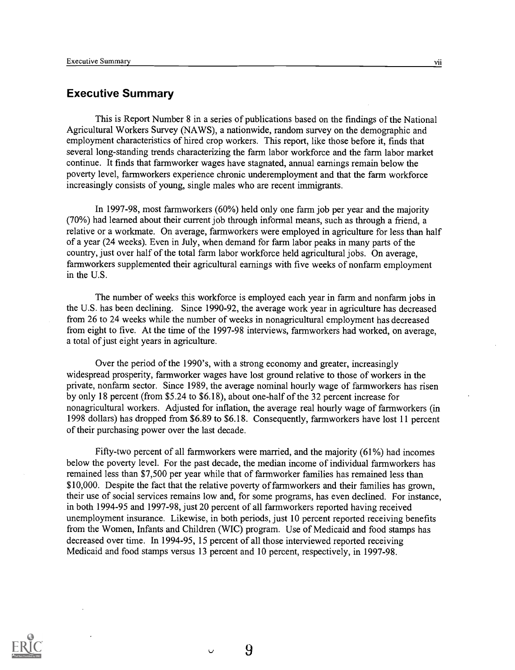# Executive Summary

This is Report Number 8 in a series of publications based on the findings of the National Agricultural Workers Survey (NAWS), a nationwide, random survey on the demographic and employment characteristics of hired crop workers. This report, like those before it, finds that several long-standing trends characterizing the farm labor workforce and the farm labor market continue. It finds that farmworker wages have stagnated, annual earnings remain below the poverty level, farmworkers experience chronic underemployment and that the farm workforce increasingly consists of young, single males who are recent immigrants.

In 1997-98, most farmworkers (60%) held only one farm job per year and the majority (70%) had learned about their current job through informal means, such as through a friend, a relative or a workmate. On average, farmworkers were employed in agriculture for less than half of a year (24 weeks). Even in July, when demand for farm labor peaks in many parts of the country, just over half of the total farm labor workforce held agricultural jobs. On average, farmworkers supplemented their agricultural earnings with five weeks of nonfarm employment in the U.S.

The number of weeks this workforce is employed each year in farm and nonfarm jobs in the U.S. has been declining. Since 1990-92, the average work year in agriculture has decreased from 26 to 24 weeks while the number of weeks in nonagricultural employment has decreased from eight to five. At the time of the 1997-98 interviews, farmworkers had worked, on average, a total of just eight years in agriculture.

Over the period of the 1990's, with a strong economy and greater, increasingly widespread prosperity, farmworker wages have lost ground relative to those of workers in the private, nonfarm sector. Since 1989, the average nominal hourly wage of farmworkers has risen by only 18 percent (from \$5.24 to \$6.18), about one-half of the 32 percent increase for nonagricultural workers. Adjusted for inflation, the average real hourly wage of farmworkers (in 1998 dollars) has dropped from \$6.89 to \$6.18. Consequently, farmworkers have lost 11 percent of their purchasing power over the last decade.

Fifty-two percent of all farmworkers were married, and the majority (61%) had incomes below the poverty level. For the past decade, the median income of individual farmworkers has remained less than \$7,500 per year while that of farmworker families has remained less than \$10,000. Despite the fact that the relative poverty of farmworkers and their families has grown, their use of social services remains low and, for some programs, has even declined. For instance, in both 1994-95 and 1997-98, just 20 percent of all farmworkers reported having received unemployment insurance. Likewise, in both periods, just 10 percent reported receiving benefits from the Women, Infants and Children (WIC) program. Use of Medicaid and food stamps has decreased over time. In 1994-95, 15 percent of all those interviewed reported receiving Medicaid and food stamps versus 13 percent and 10 percent, respectively, in 1997-98.

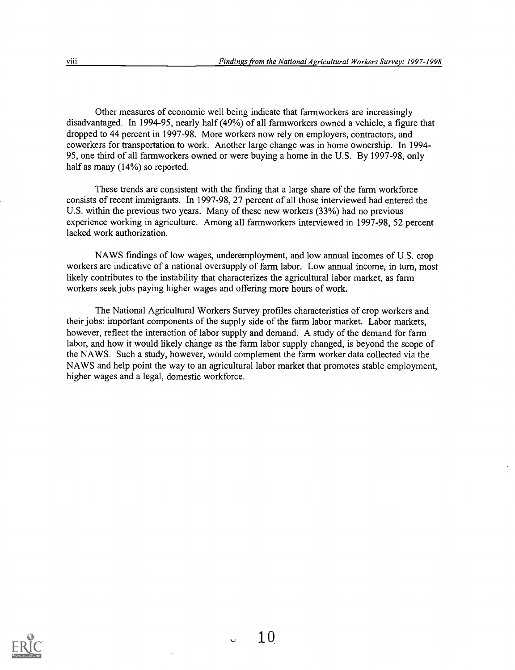Other measures of economic well being indicate that farmworkers are increasingly disadvantaged. In 1994-95, nearly half (49%) of all farmworkers owned a vehicle, a figure that dropped to 44 percent in 1997-98. More workers now rely on employers, contractors, and coworkers for transportation to work. Another large change was in home ownership. In 1994- 95, one third of all farmworkers owned or were buying a home in the U.S. By 1997-98, only half as many (14%) so reported.

These trends are consistent with the finding that a large share of the farm workforce consists of recent immigrants. In 1997-98, 27 percent of all those interviewed had entered the U.S. within the previous two years. Many of these new workers (33%) had no previous experience working in agriculture. Among all farmworkers interviewed in 1997-98, 52 percent lacked work authorization.

NAWS findings of low wages, underemployment, and low annual incomes of U.S. crop workers are indicative of a national oversupply of farm labor. Low annual income, in turn, most likely contributes to the instability that characterizes the agricultural labor market, as farm workers seek jobs paying higher wages and offering more hours of work.

The National Agricultural Workers Survey profiles characteristics of crop workers and their jobs: important components of the supply side of the farm labor market. Labor markets, however, reflect the interaction of labor supply and demand. A study of the demand for farm labor, and how it would likely change as the farm labor supply changed, is beyond the scope of the NAWS. Such a study, however, would complement the farm worker data collected via the NAWS and help point the way to an agricultural labor market that promotes stable employment, higher wages and a legal, domestic workforce.

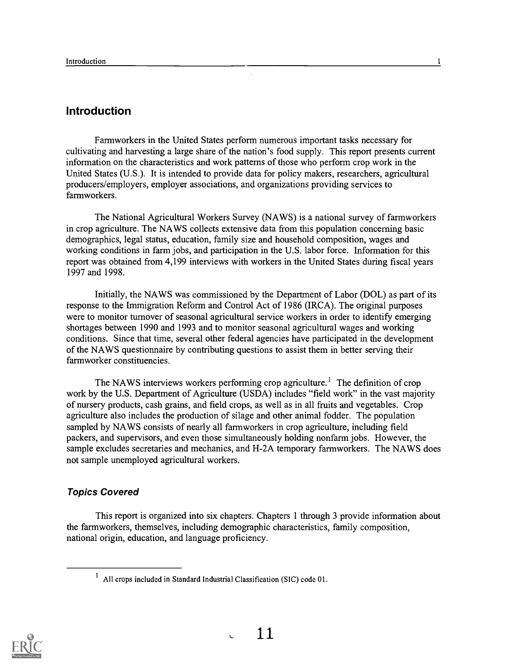# Introduction

Farmworkers in the United States perform numerous important tasks necessary for cultivating and harvesting a large share of the nation's food supply. This report presents current information on the characteristics and work patterns of those who perform crop work in the United States (U.S.). It is intended to provide data for policy makers, researchers, agricultural producers/employers, employer associations, and organizations providing services to farmworkers.

The National Agricultural Workers Survey (NAWS) is a national survey of farmworkers in crop agriculture. The NAWS collects extensive data from this population concerning basic demographics, legal status, education, family size and household composition, wages and working conditions in farm jobs, and participation in the U.S. labor force. Information for this report was obtained from 4,199 interviews with workers in the United States during fiscal years 1997 and 1998.

Initially, the NAWS was commissioned by the Department of Labor (DOL) as part of its response to the Immigration Reform and Control Act of 1986 (IRCA). The original purposes were to monitor turnover of seasonal agricultural service workers in order to identify emerging shortages between 1990 and 1993 and to monitor seasonal agricultural wages and working conditions. Since that time, several other federal agencies have participated in the development of the NAWS questionnaire by contributing questions to assist them in better serving their farmworker constituencies.

The NAWS interviews workers performing crop agriculture.' The definition of crop work by the U.S. Department of Agriculture (USDA) includes "field work" in the vast majority of nursery products, cash grains, and field crops, as well as in all fruits and vegetables. Crop agriculture also includes the production of silage and other animal fodder. The population sampled by NAWS consists of nearly all farmworkers in crop agriculture, including field packers, and supervisors, and even those simultaneously holding nonfarm jobs. However, the sample excludes secretaries and mechanics, and H-2A temporary farmworkers. The NAWS does not sample unemployed agricultural workers.

# Topics Covered

This report is organized into six chapters. Chapters 1 through 3 provide information about the farmworkers, themselves, including demographic characteristics, family composition, national origin, education, and language proficiency.



 $1$  All crops included in Standard Industrial Classification (SIC) code 01.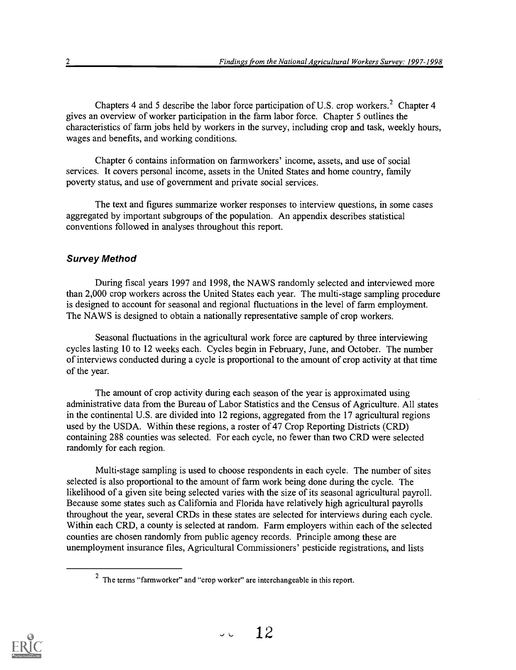Chapters 4 and 5 describe the labor force participation of U.S. crop workers.<sup>2</sup> Chapter 4 gives an overview of worker participation in the farm labor force. Chapter 5 outlines the characteristics of farm jobs held by workers in the survey, including crop and task, weekly hours, wages and benefits, and working conditions.

Chapter 6 contains information on farmworkers' income, assets, and use of social services. It covers personal income, assets in the United States and home country, family poverty status, and use of government and private social services.

The text and figures summarize worker responses to interview questions, in some cases aggregated by important subgroups of the population. An appendix describes statistical conventions followed in analyses throughout this report.

#### Survey Method

During fiscal years 1997 and 1998, the NAWS randomly selected and interviewed more than 2,000 crop workers across the United States each year. The multi-stage sampling procedure is designed to account for seasonal and regional fluctuations in the level of farm employment. The NAWS is designed to obtain a nationally representative sample of crop workers.

Seasonal fluctuations in the agricultural work force are captured by three interviewing cycles lasting 10 to 12 weeks each. Cycles begin in February, June, and October. The number of interviews conducted during a cycle is proportional to the amount of crop activity at that time of the year.

The amount of crop activity during each season of the year is approximated using administrative data from the Bureau of Labor Statistics and the Census of Agriculture. All states in the continental U.S. are divided into 12 regions, aggregated from the 17 agricultural regions used by the USDA. Within these regions, a roster of 47 Crop Reporting Districts (CRD) containing 288 counties was selected. For each cycle, no fewer than two CRD were selected randomly for each region.

Multi-stage sampling is used to choose respondents in each cycle. The number of sites selected is also proportional to the amount of farm work being done during the cycle. The likelihood of a given site being selected varies with the size of its seasonal agricultural payroll. Because some states such as California and Florida have relatively high agricultural payrolls throughout the year, several CRDs in these states are selected for interviews during each cycle. Within each CRD, a county is selected at random. Farm employers within each of the selected counties are chosen randomly from public agency records. Principle among these are unemployment insurance files, Agricultural Commissioners' pesticide registrations, and lists



<sup>2</sup> The terms "farmworker" and "crop worker" are interchangeable in this report.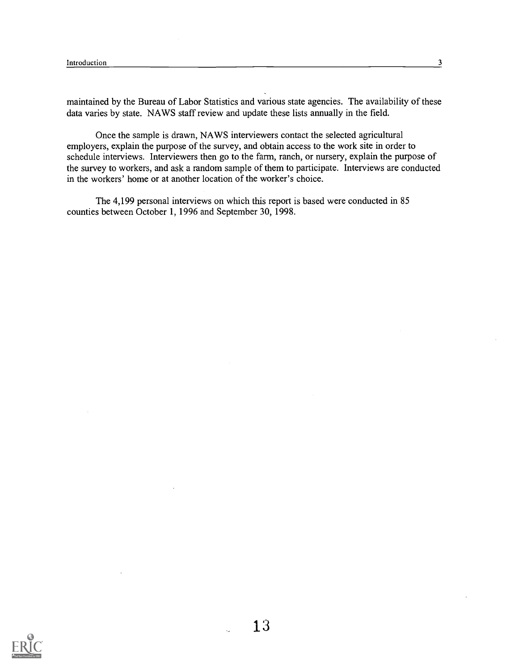maintained by the Bureau of Labor Statistics and various state agencies. The availability of these data varies by state. NAWS staff review and update these lists annually in the field.

Once the sample is drawn, NAWS interviewers contact the selected agricultural employers, explain the purpose of the survey, and obtain access to the work site in order to schedule interviews. Interviewers then go to the farm, ranch, or nursery, explain the purpose of the survey to workers, and ask a random sample of them to participate. Interviews are conducted in the workers' home or at another location of the worker's choice.

The 4,199 personal interviews on which this report is based were conducted in 85 counties between October 1, 1996 and September 30, 1998.

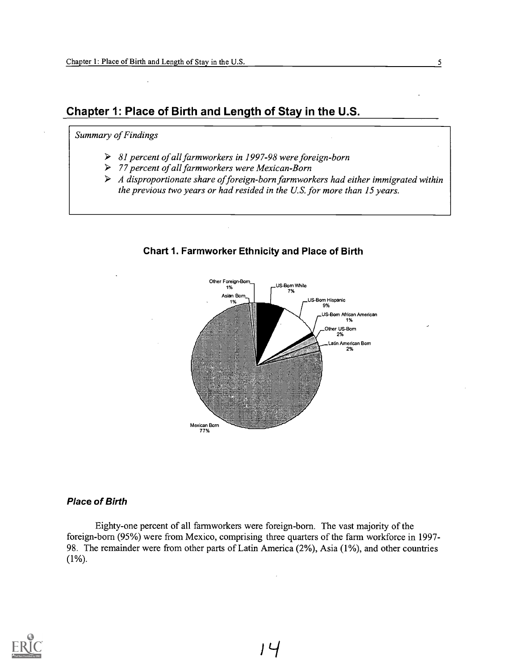# Chapter 1: Place of Birth and Length of Stay in the U.S.

### Summary of Findings

- > 81 percent of all farmworkers in 1997-98 were foreign-born
- > 77 percent of all farmworkers were Mexican-Born
- $\triangleright$  A disproportionate share of foreign-born farmworkers had either immigrated within the previous two years or had resided in the U.S. for more than 15 years.



#### Chart 1. Farmworker Ethnicity and Place of Birth

#### Place of Birth

Eighty-one percent of all farmworkers were foreign-born. The vast majority of the foreign-born (95%) were from Mexico, comprising three quarters of the farm workforce in 1997- 98. The remainder were from other parts of Latin America (2%), Asia (1%), and other countries (1%).



Li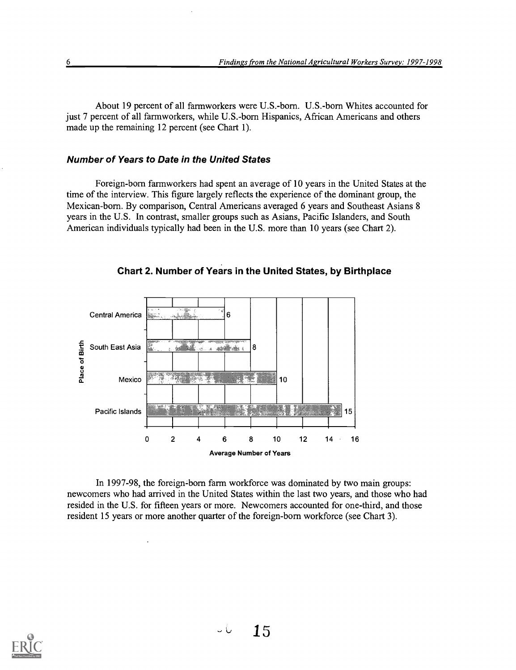About 19 percent of all farmworkers were U.S.-born. U.S.-born Whites accounted for just 7 percent of all farmworkers, while U.S.-born Hispanics, African Americans and others made up the remaining 12 percent (see Chart 1).

#### Number of Years to Date in the United States

Foreign-born farmworkers had spent an average of 10 years in the United States at the time of the interview. This figure largely reflects the experience of the dominant group, the Mexican-born. By comparison, Central Americans averaged 6 years and Southeast Asians 8 years in the U.S. In contrast, smaller groups such as Asians, Pacific Islanders, and South American individuals typically had been in the U.S. more than 10 years (see Chart 2).



Chart 2. Number of Years in the United States, by Birthplace

In 1997-98, the foreign-born farm workforce was dominated by two main groups: newcomers who had arrived in the United States within the last two years, and those who had resided in the U.S. for fifteen years or more. Newcomers accounted for one-third, and those resident 15 years or more another quarter of the foreign-born workforce (see Chart 3).

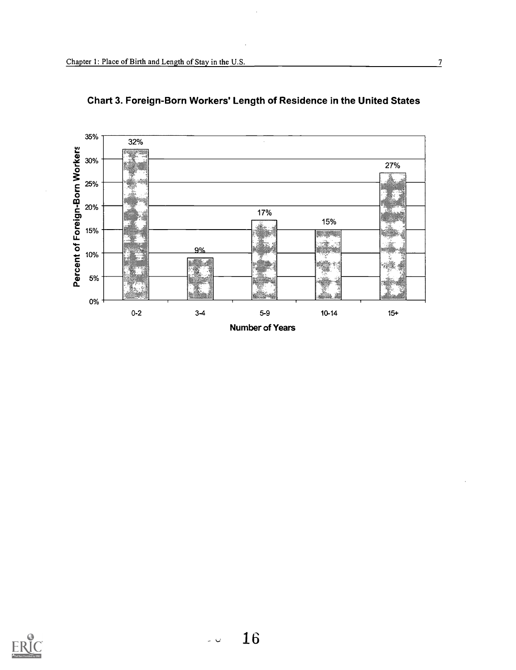



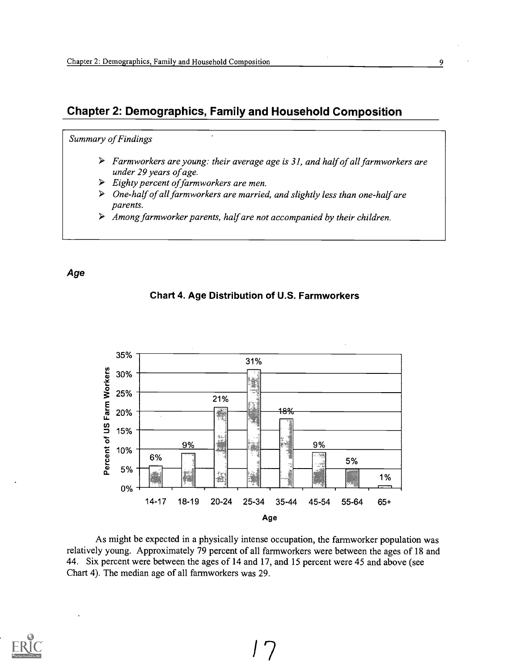# Chapter 2: Demographics, Family and Household Composition

#### Summary of Findings

- $\triangleright$  Farmworkers are young: their average age is 31, and half of all farmworkers are under 29 years of age.
- $\triangleright$  Eighty percent of farmworkers are men.
- $\triangleright$  One-half of all farmworkers are married, and slightly less than one-half are parents.
- $\triangleright$  Among farmworker parents, half are not accompanied by their children.

#### Age

Chart 4. Age Distribution of U.S. Farmworkers



As might be expected in a physically intense occupation, the farmworker population was relatively young. Approximately 79 percent of all farmworkers were between the ages of 18 and 44. Six percent were between the ages of 14 and 17, and 15 percent were 45 and above (see Chart 4). The median age of all farmworkers was 29.

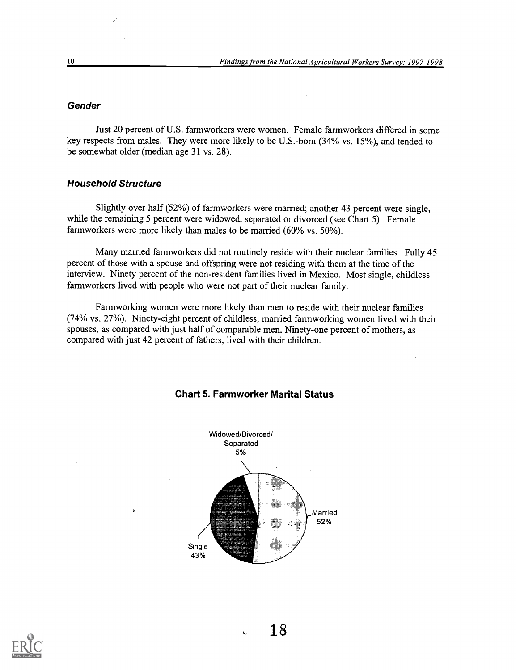#### **Gender**

Just 20 percent of U.S. farmworkers were women. Female farmworkers differed in some key respects from males. They were more likely to be U.S.-born (34% vs. 15%), and tended to be somewhat older (median age 31 vs. 28).

#### Household Structure

k,

Slightly over half (52%) of farmworkers were married; another 43 percent were single, while the remaining 5 percent were widowed, separated or divorced (see Chart 5). Female farmworkers were more likely than males to be married (60% vs. 50%).

Many married farmworkers did not routinely reside with their nuclear families. Fully 45 percent of those with a spouse and offspring were not residing with them at the time of the interview. Ninety percent of the non-resident families lived in Mexico. Most single, childless farmworkers lived with people who were not part of their nuclear family.

Farmworking women were more likely than men to reside with their nuclear families  $(74\%$  vs.  $27\%)$ . Ninety-eight percent of childless, married farmworking women lived with their spouses, as compared with just half of comparable men. Ninety-one percent of mothers, as compared with just 42 percent of fathers, lived with their children.



#### Chart 5. Farmworker Marital Status

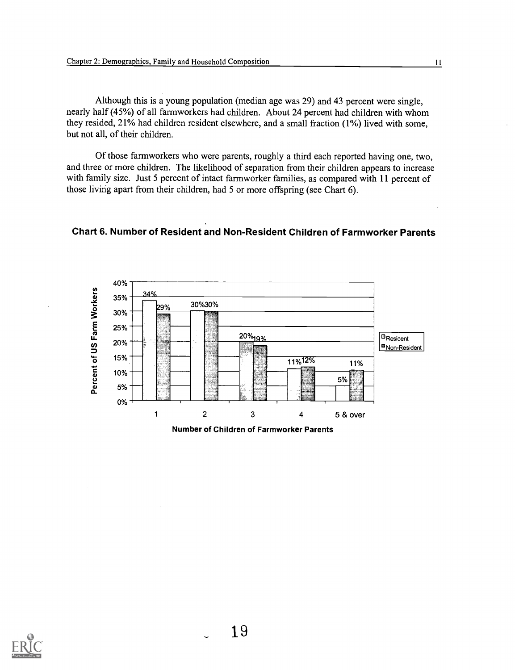Although this is a young population (median age was 29) and 43 percent were single, nearly half (45%) of all farmworkers had children. About 24 percent had children with whom they resided, 21% had children resident elsewhere, and a small fraction (1%) lived with some, but not all, of their children.

Of those farmworkers who were parents, roughly a third each reported having one, two, and three or more children. The likelihood of separation from their children appears to increase with family size. Just 5 percent of intact farmworker families, as compared with 11 percent of those livirig apart from their children, had 5 or more offspring (see Chart 6).



#### Chart 6. Number of Resident and Non-Resident Children of Farmworker Parents

Number of Children of Farmworker Parents

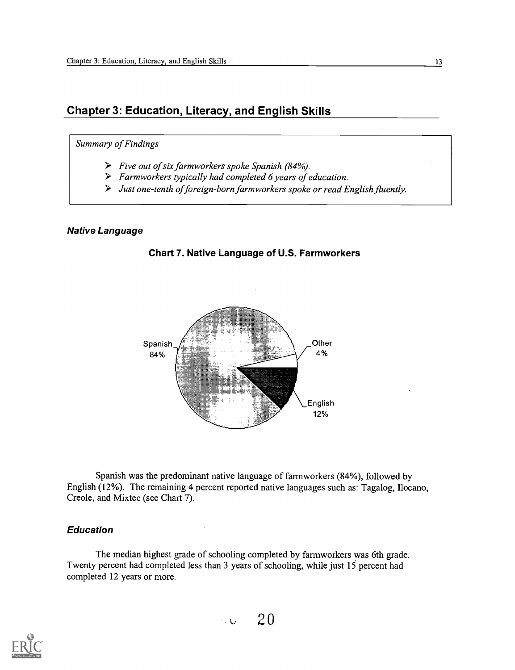# Chapter 3: Education, Literacy, and English Skills

#### Summary of Findings

- $\triangleright$  Five out of six farmworkers spoke Spanish (84%).
- $\triangleright$  Farmworkers typically had completed 6 years of education.
- $\triangleright$  Just one-tenth of foreign-born farmworkers spoke or read English fluently.

#### Native Language





Spanish was the predominant native language of farmworkers (84%), followed by English (12%). The remaining 4 percent reported native languages such as: Tagalog, Ilocano, Creole, and Mixtec (see Chart 7).

#### Education

The median highest grade of schooling completed by farmworkers was 6th grade. Twenty percent had completed less than 3 years of schooling, while just 15 percent had completed 12 years or more.

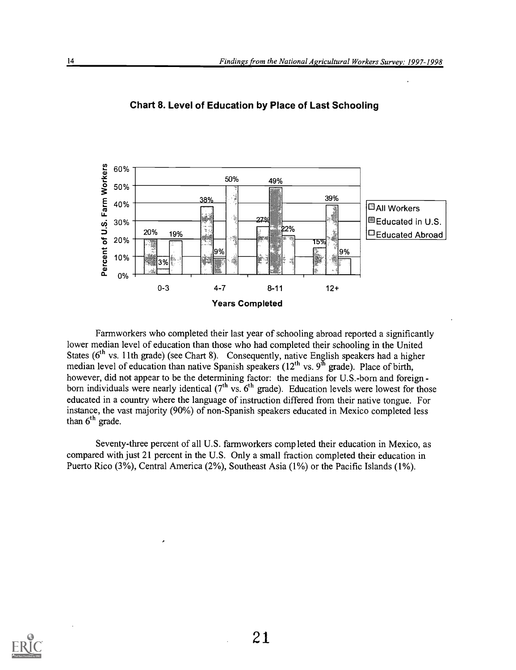

Chart 8. Level of Education by Place of Last Schooling

Farmworkers who completed their last year of schooling abroad reported a significantly lower median level of education than those who had completed their schooling in the United States (6<sup>th</sup> vs. 11th grade) (see Chart 8). Consequently, native English speakers had a higher median level of education than native Spanish speakers  $(12^{th} \text{ vs. } 9^{th} \text{ grade})$ . Place of birth, however, did not appear to be the determining factor: the medians for U.S.-born and foreign born individuals were nearly identical  $(7<sup>th</sup>$  vs.  $6<sup>th</sup>$  grade). Education levels were lowest for those educated in a country where the language of instruction differed from their native tongue. For instance, the vast majority (90%) of non-Spanish speakers educated in Mexico completed less than  $6<sup>th</sup>$  grade.

Seventy-three percent of all U.S. farmworkers completed their education in Mexico, as compared with just 21 percent in the U.S. Only a small fraction completed their education in Puerto Rico (3%), Central America (2%), Southeast Asia (1%) or the Pacific Islands (1%).

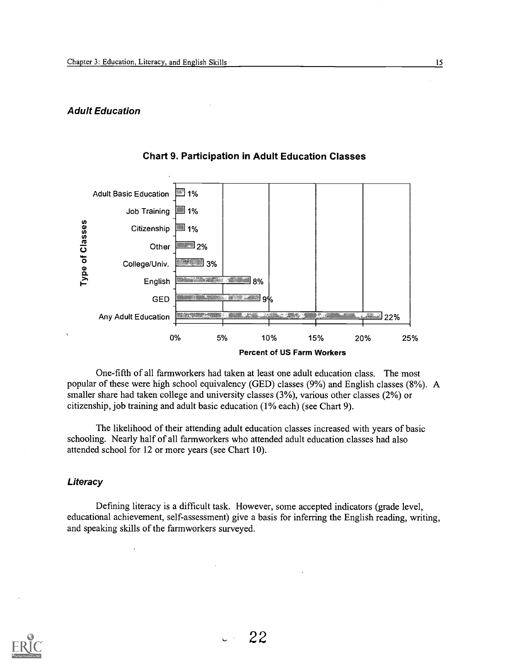#### Adult Education



#### Chart 9. Participation in Adult Education Classes

One-fifth of all farmworkers had taken at least one adult education class. The most popular of these were high school equivalency (GED) classes (9%) and English classes (8%). A smaller share had taken college and university classes (3%), various other classes (2%) or citizenship, job training and adult basic education (1% each) (see Chart 9).

The likelihood of their attending adult education classes increased with years of basic schooling. Nearly half of all farmworkers who attended adult education classes had also attended school for 12 or more years (see Chart 10).

#### **Literacy**

Defining literacy is a difficult task. However, some accepted indicators (grade level, educational achievement, self-assessment) give a basis for inferring the English reading, writing, and speaking skills of the farmworkers surveyed.

![](_page_21_Picture_8.jpeg)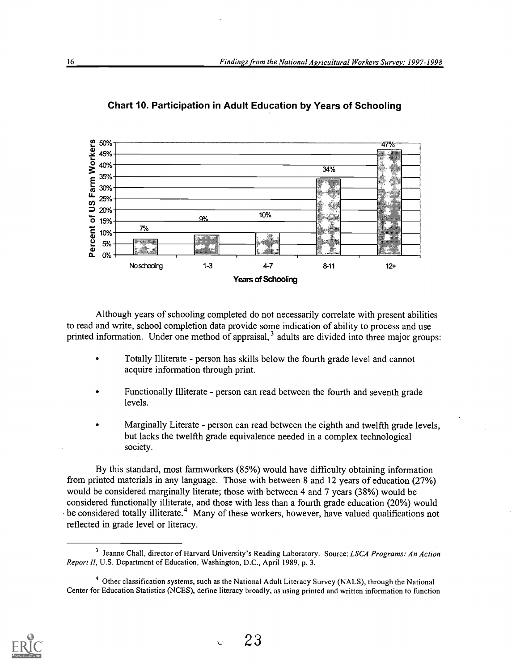![](_page_22_Figure_1.jpeg)

Chart 10. Participation in Adult Education by Years of Schooling

Although years of schooling completed do not necessarily correlate with present abilities to read and write, school completion data provide some indication of ability to process and use printed information. Under one method of appraisal,<sup>3</sup> adults are divided into three major groups:

- Totally Illiterate person has skills below the fourth grade level and cannot acquire information through print.
- Functionally Illiterate person can read between the fourth and seventh grade levels.
- Marginally Literate person can read between the eighth and twelfth grade levels, but lacks the twelfth grade equivalence needed in a complex technological society.

By this standard, most farmworkers (85%) would have difficulty obtaining information from printed materials in any language. Those with between 8 and 12 years of education (27%) would be considered marginally literate; those with between 4 and 7 years (38%) would be considered functionally illiterate, and those with less than a fourth grade education (20%) would be considered totally illiterate.<sup>4</sup> Many of these workers, however, have valued qualifications not reflected in grade level or literacy.

![](_page_22_Picture_10.jpeg)

<sup>&</sup>lt;sup>3</sup> Jeanne Chall, director of Harvard University's Reading Laboratory. Source: LSCA Programs: An Action Report II, U.S. Department of Education, Washington, D.C., April 1989, p. 3.

<sup>4</sup> Other classification systems, such as the National Adult Literacy Survey (NALS), through the National Center for Education Statistics (NCES), define literacy broadly, as using printed and written information to function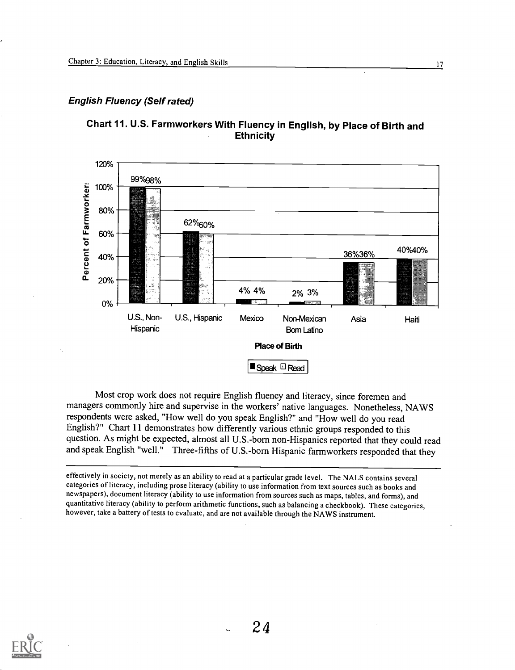# English Fluency (Self rated)

![](_page_23_Figure_2.jpeg)

![](_page_23_Figure_3.jpeg)

Most crop work does not require English fluency and literacy, since foremen and managers commonly hire and supervise in the workers' native languages. Nonetheless, NAWS respondents were asked, "How well do you speak English?" and "How well do you read English'?" Chart 11 demonstrates how differently various ethnic groups responded to this question. As might be expected, almost all U.S.-born non-Hispanics reported that they could read and speak English "well." Three-fifths of U.S.-born Hispanic farmworkers responded that they

effectively in society, not merely as an ability to read at a particular grade level. The NALS contains several categories of literacy, including prose literacy (ability to use information from text sources such as books and newspapers), document literacy (ability to use information from sources such as maps, tables, and forms), and quantitative literacy (ability to perform arithmetic functions, such as balancing a checkbook). These categories, however, take a battery of tests to evaluate, and are not available through the NAWS instrument.

![](_page_23_Picture_6.jpeg)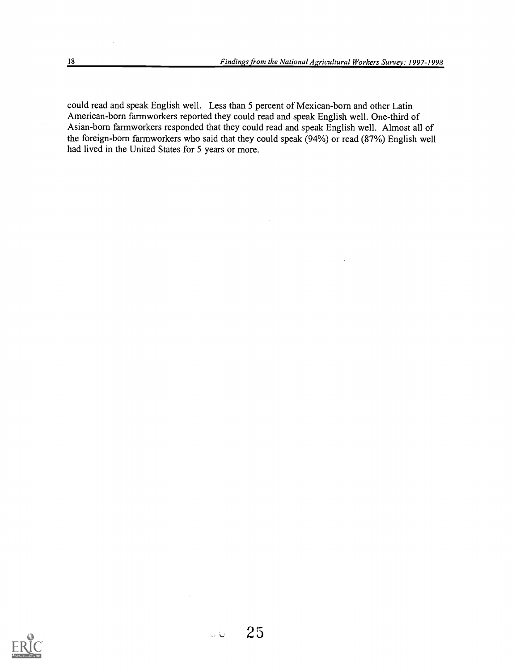could read and speak English well. Less than 5 percent of Mexican-born and other Latin American-born farmworkers reported they could read and speak English well. One-third of Asian-born farmworkers responded that they could read and speak English well. Almost all of the foreign-born farmworkers who said that they could speak  $(94%)$  or read  $(87%)$  English well had lived in the United States for 5 years or more.

![](_page_24_Picture_2.jpeg)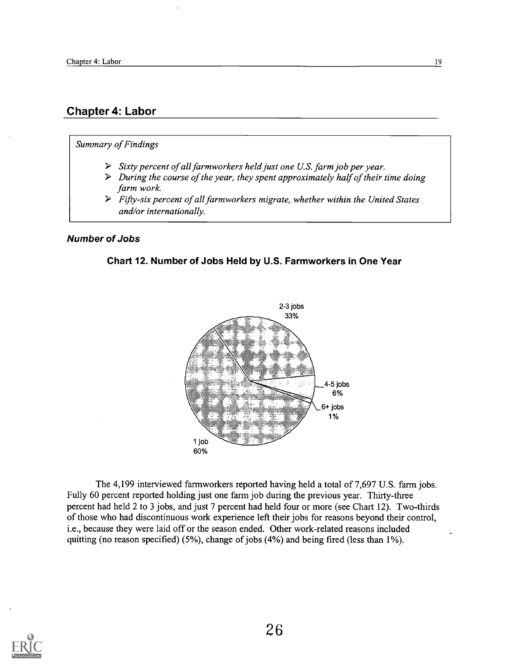# Chapter 4: Labor

#### Summary of Findings

- $\triangleright$  Sixty percent of all farmworkers held just one U.S. farm job per year.
- $\triangleright$  During the course of the year, they spent approximately half of their time doing farm work.
- $\triangleright$  Fifty-six percent of all farmworkers migrate, whether within the United States and/or internationally.

#### Number of Jobs

#### Chart 12. Number of Jobs Held by U.S. Farmworkers in One Year

![](_page_25_Figure_8.jpeg)

The 4,199 interviewed farmworkers reported having held a total of 7,697 U.S. farm jobs. Fully 60 percent reported holding just one farm job during the previous year. Thirty-three percent had held 2 to 3 jobs, and just 7 percent had held four or more (see Chart 12). Two-thirds of those who had discontinuous work experience left their jobs for reasons beyond their control, i.e., because they were laid off or the season ended. Other work-related reasons included quitting (no reason specified) (5%), change of jobs (4%) and being fired (less than 1%).

![](_page_25_Picture_10.jpeg)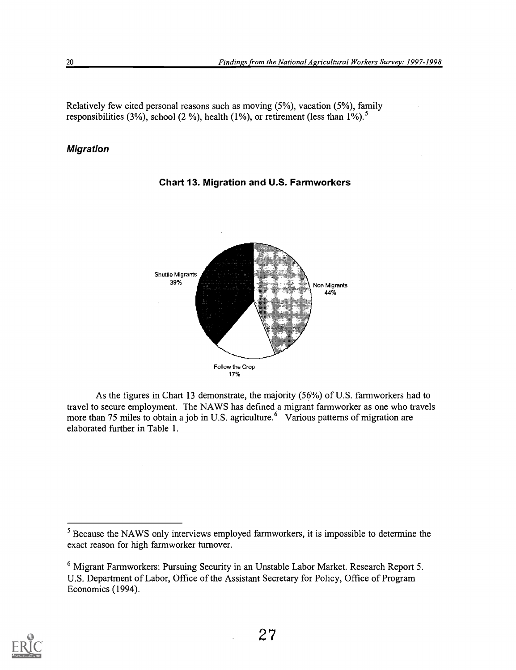Relatively few cited personal reasons such as moving (5%), vacation (5%), family responsibilities (3%), school (2 %), health (1%), or retirement (less than  $1\%$ ).<sup>5</sup>

### Migration

![](_page_26_Figure_3.jpeg)

Chart 13. Migration and U.S. Farmworkers

As the figures in Chart 13 demonstrate, the majority (56%) of U.S. farmworkers had to travel to secure employment. The NAWS has defined a migrant farmworker as one who travels more than 75 miles to obtain a job in U.S. agriculture.<sup>6</sup> Various patterns of migration are elaborated further in Table 1.

![](_page_26_Picture_8.jpeg)

<sup>&</sup>lt;sup>5</sup> Because the NAWS only interviews employed farmworkers, it is impossible to determine the exact reason for high farmworker turnover.

<sup>6</sup> Migrant Farmworkers: Pursuing Security in an Unstable Labor Market. Research Report 5. U.S. Department of Labor, Office of the Assistant Secretary for Policy, Office of Program Economics (1994).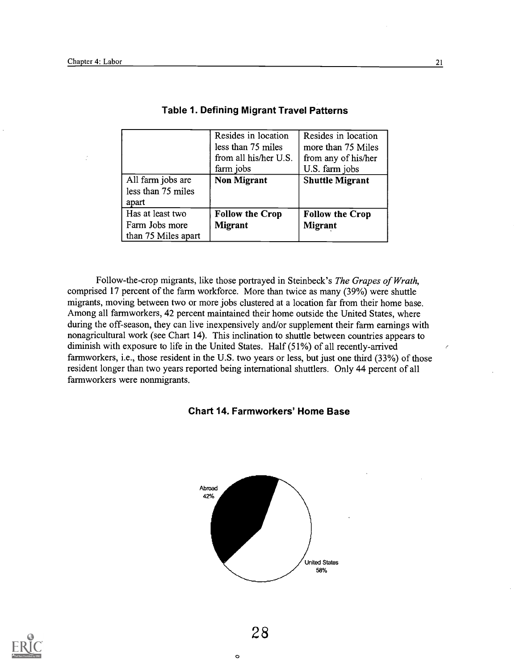|                                                           | Resides in location<br>less than 75 miles<br>from all his/her U.S.<br>farm jobs | Resides in location<br>more than 75 Miles<br>from any of his/her<br>U.S. farm jobs |
|-----------------------------------------------------------|---------------------------------------------------------------------------------|------------------------------------------------------------------------------------|
| All farm jobs are<br>less than 75 miles<br>apart          | <b>Non Migrant</b>                                                              | <b>Shuttle Migrant</b>                                                             |
| Has at least two<br>Farm Jobs more<br>than 75 Miles apart | <b>Follow the Crop</b><br><b>Migrant</b>                                        | <b>Follow the Crop</b><br><b>Migrant</b>                                           |

#### Table 1. Defining Migrant Travel Patterns

Follow-the-crop migrants, like those portrayed in Steinbeck's The Grapes of Wrath, comprised 17 percent of the farm workforce. More than twice as many (39%) were shuttle migrants, moving between two or more jobs clustered at a location far from their home base. Among all farmworkers, 42 percent maintained their home outside the United States, where during the off-season, they can live inexpensively and/or supplement their farm earnings with nonagricultural work (see Chart 14). This inclination to shuttle between countries appears to diminish with exposure to life in the United States. Half (51%) of all recently-arrived farmworkers, i.e., those resident in the U.S. two years or less, but just one third (33%) of those resident longer than two years reported being international shuttlers. Only 44 percent of all farmworkers were nonmigrants.

# Chart 14. Farmworkers' Home Base

![](_page_27_Figure_5.jpeg)

![](_page_27_Picture_6.jpeg)

 $\bullet$  and  $\bullet$  and  $\bullet$ 

 $\epsilon$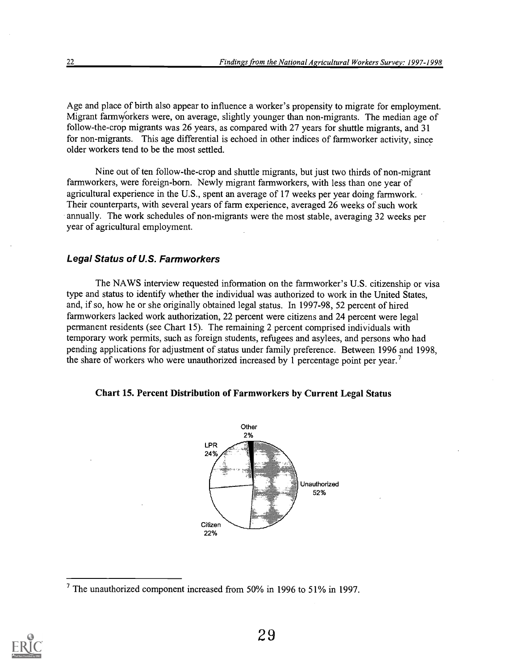Age and place of birth also appear to influence a worker's propensity to migrate for employment. Migrant farmviorkers were, on average, slightly younger than non-migrants. The median age of follow-the-crop migrants was 26 years, as compared with 27 years for shuttle migrants, and 31 for non-migrants. This age differential is echoed in other indices of farmworker activity, since older workers tend to be the most settled.

Nine out of ten follow-the-crop and shuttle migrants, but just two thirds of non-migrant farmworkers, were foreign-born. Newly migrant farmworkers, with less than one year of agricultural experience in the U.S., spent an average of 17 weeks per year doing farmwork. Their counterparts, with several years of farm experience, averaged 26 weeks of such work annually. The work schedules of non-migrants were the most stable, averaging 32 weeks per year of agricultural employment.

#### Legal Status of U.S. Farmworkers

The NAWS interview requested information on the farmworker's U.S. citizenship or visa type and status to identify whether the individual was authorized to work in the United States, and, if so, how he or she originally obtained legal status. In 1997-98, 52 percent of hired farmworkers lacked work authorization, 22 percent were citizens and 24 percent were legal permanent residents (see Chart 15). The remaining 2 percent comprised individuals with temporary work permits, such as foreign students, refugees and asylees, and persons who had pending applications for adjustment of status under family preference. Between 1996 and 1998, the share of workers who were unauthorized increased by 1 percentage point per year.<sup>7</sup>

#### Chart 15. Percent Distribution of Farmworkers by Current Legal Status

![](_page_28_Figure_6.jpeg)

![](_page_28_Picture_8.jpeg)

<sup>7</sup> The unauthorized component increased from 50% in 1996 to 51% in 1997.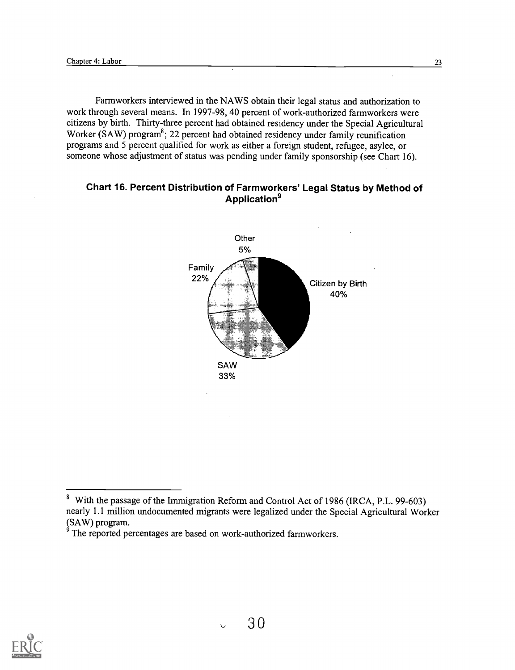Farmworkers interviewed in the NAWS obtain their legal status and authorization to work through several means. In 1997-98, 40 percent of work-authorized farmworkers were citizens by birth. Thirty-three percent had obtained residency under the Special Agricultural Worker (SAW) program<sup>8</sup>; 22 percent had obtained residency under family reunification programs and 5 percent qualified for work as either a foreign student, refugee, asylee, or someone whose adjustment of status was pending under family sponsorship (see Chart 16).

#### Chart 16. Percent Distribution of Farmworkers' Legal Status by Method of Application<sup>9</sup>

![](_page_29_Figure_3.jpeg)

![](_page_29_Picture_6.jpeg)

<sup>8</sup> With the passage of the Immigration Reform and Control Act of 1986 (IRCA, P.L. 99-603) nearly 1.1 million undocumented migrants were legalized under the Special Agricultural Worker  $(SAW)$  program.

The reported percentages are based on work-authorized farmworkers.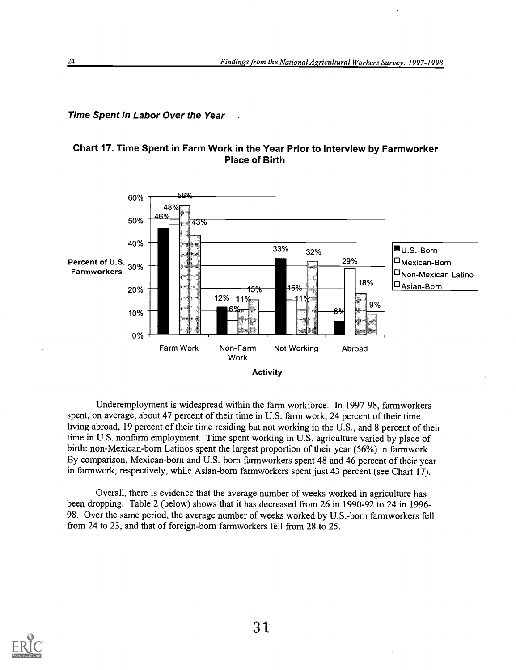#### **Time Spent in Labor Over the Year**

# Chart 17. Time Spent in Farm Work in the Year Prior to Interview by Farmworker Place of Birth

![](_page_30_Figure_3.jpeg)

Underemployment is widespread within the farm workforce. In 1997-98, farmworkers spent, on average, about 47 percent of their time in U.S. farm work, 24 percent of their time living abroad, 19 percent of their time residing but not working in the U.S., and 8 percent of their time in U.S. nonfarm employment. Time spent working in U.S. agriculture varied by place of birth: non-Mexican-born Latinos spent the largest proportion of their year (56%) in farmwork. By comparison, Mexican-born and U.S.-born farmworkers spent 48 and 46 percent of their year in farmwork, respectively, while Asian-born farmworkers spent just 43 percent (see Chart 17).

Overall, there is evidence that the average number of weeks worked in agriculture has been dropping. Table 2 (below) shows that it has decreased from 26 in 1990-92 to 24 in 1996- 98. Over the same period, the average number of weeks worked by U.S.-born farmworkers fell from 24 to 23, and that of foreign-born farmworkers fell from 28 to 25.

![](_page_30_Picture_6.jpeg)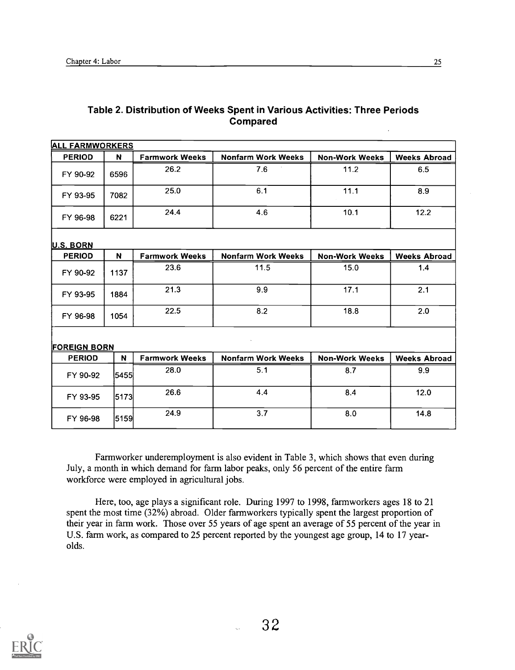| Table 2. Distribution of Weeks Spent in Various Activities: Three Periods |  |
|---------------------------------------------------------------------------|--|
| <b>Compared</b>                                                           |  |
|                                                                           |  |

| <b>ALL FARMWORKERS</b> |      |                       |                           |                       |                     |
|------------------------|------|-----------------------|---------------------------|-----------------------|---------------------|
| <b>PERIOD</b>          | N    | <b>Farmwork Weeks</b> | <b>Nonfarm Work Weeks</b> | <b>Non-Work Weeks</b> | <b>Weeks Abroad</b> |
| FY 90-92               | 6596 | 26.2                  | 7.6                       | 11.2                  | 6.5                 |
| FY 93-95               | 7082 | 25.0                  | 6.1                       | 11.1                  | 8.9                 |
| FY 96-98               | 6221 | 24.4                  | 4.6                       | 10.1                  | 12.2                |
| U.S. BORN              |      |                       |                           |                       |                     |
| <b>PERIOD</b>          | N.   | <b>Farmwork Weeks</b> | <b>Nonfarm Work Weeks</b> | <b>Non-Work Weeks</b> | <b>Weeks Abroad</b> |
| FY 90-92               | 1137 | 23.6                  | 11.5                      | 15.0                  | 1.4                 |
| FY 93-95               | 1884 | 21.3                  | 9.9                       | 17.1                  | 2.1                 |
| FY 96-98               | 1054 | 22.5                  | 8.2                       | 18.8                  | 2.0                 |
| <b>FOREIGN BORN</b>    |      |                       |                           |                       |                     |
| <b>PERIOD</b>          | N    | <b>Farmwork Weeks</b> | <b>Nonfarm Work Weeks</b> | <b>Non-Work Weeks</b> | <b>Weeks Abroad</b> |
| FY 90-92               | 5455 | 28.0                  | 5.1                       | 8.7                   | 9.9                 |
| FY 93-95               | 5173 | 26.6                  | 4.4                       | 8.4                   | 12.0                |
| FY 96-98               | 5159 | 24.9                  | 3.7                       | 8.0                   | 14.8                |

Farmworker underemployment is also evident in Table 3, which shows that even during July, a month in which demand for farm labor peaks, only 56 percent of the entire farm workforce were employed in agricultural jobs.

Here, too, age plays a significant role. During 1997 to 1998, farmworkers ages 18 to 21 spent the most time (32%) abroad. Older farmworkers typically spent the largest proportion of their year in farm work. Those over 55 years of age spent an average of 55 percent of the year in U.S. farm work, as compared to 25 percent reported by the youngest age group, 14 to 17 yearolds.

![](_page_31_Picture_5.jpeg)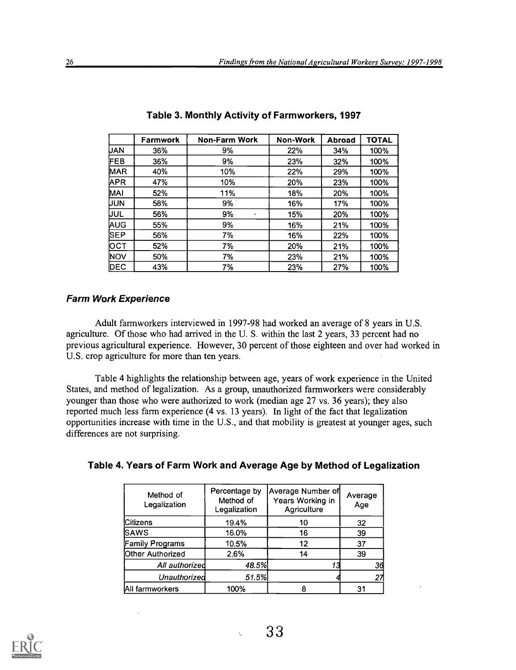|            | Farmwork | <b>Non-Farm Work</b> | Non-Work | <b>Abroad</b> | <b>TOTAL</b> |
|------------|----------|----------------------|----------|---------------|--------------|
| <b>UAN</b> | 36%      | 9%                   | 22%      | 34%           | 100%         |
| FEB        | 36%      | 9%                   | 23%      | 32%           | 100%         |
| MAR        | 40%      | 10%                  | 22%      | 29%           | 100%         |
| <b>APR</b> | 47%      | 10%                  | 20%      | 23%           | 100%         |
| MAI        | 52%      | 11%                  | 18%      | 20%           | 100%         |
| UUN        | 58%      | 9%                   | 16%      | 17%           | 100%         |
| uul        | 56%      | 9%                   | 15%      | 20%           | 100%         |
| AUG        | 55%      | 9%                   | 16%      | 21%           | 100%         |
| SEP        | 56%      | 7%                   | 16%      | 22%           | 100%         |
| рст        | 52%      | 7%                   | 20%      | 21%           | 100%         |
| <b>NOV</b> | 50%      | 7%                   | 23%      | 21%           | 100%         |
| DEC        | 43%      | 7%                   | 23%      | 27%           | 100%         |

|  |  | Table 3. Monthly Activity of Farmworkers, 1997 |  |
|--|--|------------------------------------------------|--|
|--|--|------------------------------------------------|--|

#### Farm Work Experience

Adult farmworkers interviewed in 1997-98 had worked an average of 8 years in U.S. agriculture. Of those who had arrived in the U. S. within the last 2 years, 33 percent had no previous agricultural experience. However, 30 percent of those eighteen and over had worked in U.S. crop agriculture for more than ten years.

Table 4 highlights the relationship between age, years of work experience in the United States, and method of legalization. As a group, unauthorized farmworkers were considerably younger than those who were authorized to work (median age 27 vs. 36 years); they also reported much less farm experience (4 vs. 13 years). In light of the fact that legalization opportunities increase with time in the U.S., and that mobility is greatest at younger ages, such differences are not surprising.

| Table 4. Years of Farm Work and Average Age by Method of Legalization |  |  |
|-----------------------------------------------------------------------|--|--|
|                                                                       |  |  |

| Method of<br>Legalization | Percentage by<br>Method of<br>Legalization | Average Number of<br>Years Working in<br>Agriculture | Average<br>Age |
|---------------------------|--------------------------------------------|------------------------------------------------------|----------------|
| <b>Citizens</b>           | 19.4%                                      | 10                                                   | 32             |
| <b>SAWS</b>               | 16.0%                                      | 16                                                   | 39             |
| <b>Family Programs</b>    | 10.5%                                      | 12                                                   | 37             |
| Other Authorized          | 2.6%                                       | 14                                                   | 39             |
| All authorized            | 48.5%                                      |                                                      | 36             |
| Unauthorized              | 51.5%                                      |                                                      | 27             |
| All farmworkers           | 100%                                       | 8                                                    | 31             |

![](_page_32_Picture_8.jpeg)

 $\ddot{\phantom{a}}$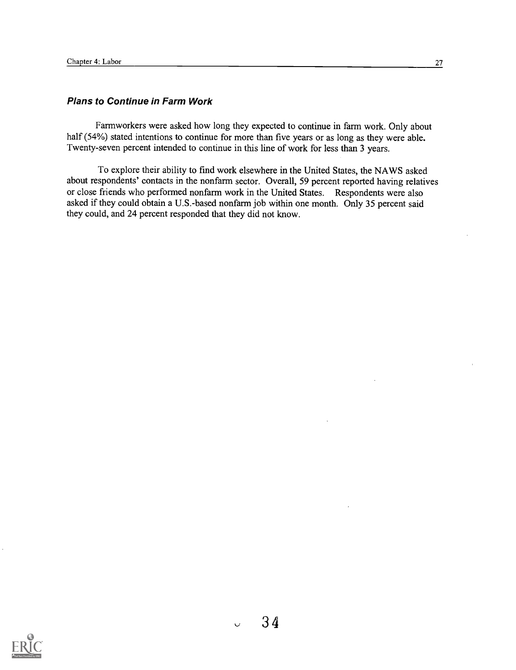#### Plans to Continue in Farm Work

Farmworkers were asked how long they expected to continue in farm work. Only about half (54%) stated intentions to continue for more than five years or as long as they were able. Twenty-seven percent intended to continue in this line of work for less than 3 years.

To explore their ability to find work elsewhere in the United States, the NAWS asked about respondents' contacts in the nonfarm sector. Overall, 59 percent reported having relatives or close friends who performed nonfarm work in the United States. Respondents were also asked if they could obtain a U.S.-based nonfarm job within one month. Only 35 percent said they could, and 24 percent responded that they did not know.

![](_page_33_Picture_4.jpeg)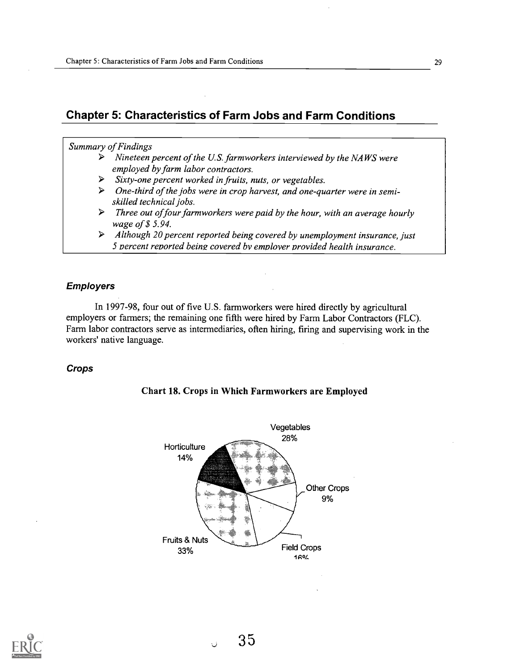# Chapter 5: Characteristics of Farm Jobs and Farm Conditions

#### Summary of Findings

- $\triangleright$  Nineteen percent of the U.S. farmworkers interviewed by the NAWS were employed by farm labor contractors.
- $\triangleright$  Sixty-one percent worked in fruits, nuts, or vegetables.
- $\triangleright$  One-third of the jobs were in crop harvest, and one-quarter were in semiskilled technical jobs.
- $\triangleright$  Three out of four farmworkers were paid by the hour, with an average hourly wage of \$ 5.94.
- $\triangleright$  Although 20 percent reported being covered by unemployment insurance, just 5 percent reported being covered by employer provided health insurance.

#### Employers

In 1997-98, four out of five U.S. farmworkers were hired directly by agricultural employers or farmers; the remaining one fifth were hired by Farm Labor Contractors (FLC). Farm labor contractors serve as intermediaries, often hiring, firing and supervising work in the workers' native language.

#### Crops

![](_page_34_Figure_11.jpeg)

![](_page_34_Figure_12.jpeg)

![](_page_34_Picture_13.jpeg)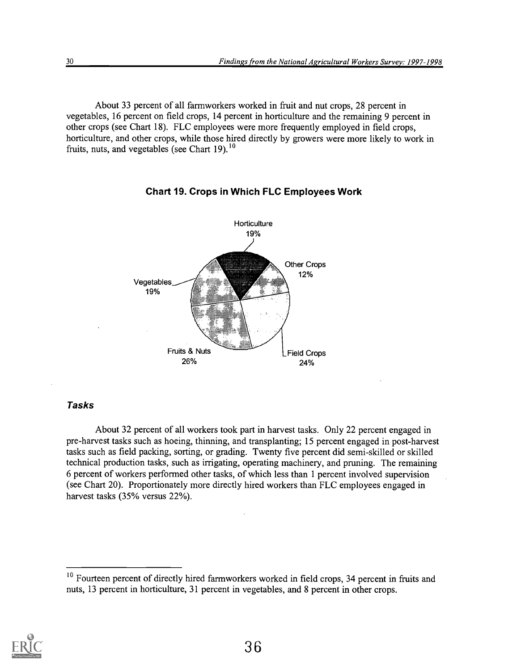About 33 percent of all farmworkers worked in fruit and nut crops, 28 percent in vegetables, 16 percent on field crops, 14 percent in horticulture and the remaining 9 percent in other crops (see Chart 18). FLC employees were more frequently employed in field crops, horticulture, and other crops, while those hired directly by growers were more likely to work in fruits, nuts, and vegetables (see Chart 19). $^{10}$ 

![](_page_35_Figure_2.jpeg)

Chart 19. Crops in Which FLC Employees Work

#### Tasks

About 32 percent of all workers took part in harvest tasks. Only 22 percent engaged in pre-harvest tasks such as hoeing, thinning, and transplanting; 15 percent engaged in post-harvest tasks such as field packing, sorting, or grading. Twenty five percent did semi-skilled or skilled technical production tasks, such as irrigating, operating machinery, and pruning. The remaining 6 percent of workers performed other tasks, of which less than 1 percent involved supervision (see Chart 20). Proportionately more directly hired workers than FLC employees engaged in harvest tasks (35% versus 22%).

![](_page_35_Picture_8.jpeg)

<sup>&</sup>lt;sup>10</sup> Fourteen percent of directly hired farmworkers worked in field crops, 34 percent in fruits and nuts, 13 percent in horticulture, 31 percent in vegetables, and 8 percent in other crops.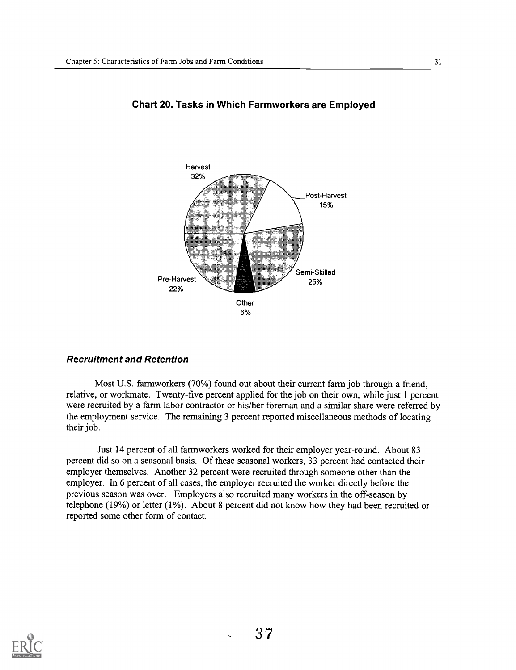![](_page_36_Figure_1.jpeg)

#### Chart 20. Tasks in Which Farmworkers are Employed

#### Recruitment and Retention

Most U.S. farmworkers (70%) found out about their current farm job through a friend, relative, or workmate. Twenty-five percent applied for the job on their own, while just 1 percent were recruited by a farm labor contractor or his/her foreman and a similar share were referred by the employment service. The remaining 3 percent reported miscellaneous methods of locating their job.

Just 14 percent of all farmworkers worked for their employer year-round. About 83 percent did so on a seasonal basis. Of these seasonal workers, 33 percent had contacted their employer themselves. Another 32 percent were recruited through someone other than the employer. In 6 percent of all cases, the employer recruited the worker directly before the previous season was over. Employers also recruited many workers in the off-season by telephone (19%) or letter (1%). About 8 percent did not know how they had been recruited or reported some other form of contact.

![](_page_36_Picture_6.jpeg)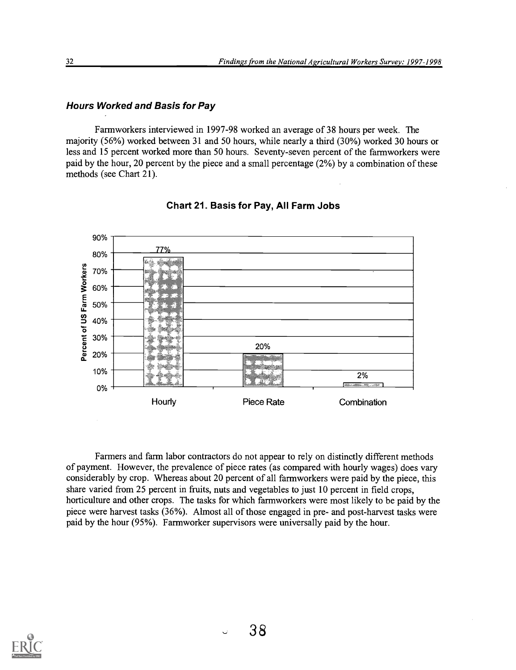#### Hours Worked and Basis for Pay

Farmworkers interviewed in 1997-98 worked an average of 38 hours per week. The majority (56%) worked between 31 and 50 hours, while nearly a third (30%) worked 30 hours or less and 15 percent worked more than 50 hours. Seventy-seven percent of the farmworkers were paid by the hour, 20 percent by the piece and a small percentage (2%) by a combination of these methods (see Chart 21).

![](_page_37_Figure_3.jpeg)

Chart 21. Basis for Pay, All Farm Jobs

Farmers and farm labor contractors do not appear to rely on distinctly different methods of payment. However, the prevalence of piece rates (as compared with hourly wages) does vary considerably by crop. Whereas about 20 percent of all farmworkers were paid by the piece, this share varied from 25 percent in fruits, nuts and vegetables to just 10 percent in field crops, horticulture and other crops. The tasks for which farmworkers were most likely to be paid by the piece were harvest tasks (36%). Almost all of those engaged in pre- and post-harvest tasks were paid by the hour (95%). Farmworker supervisors were universally paid by the hour.

![](_page_37_Picture_6.jpeg)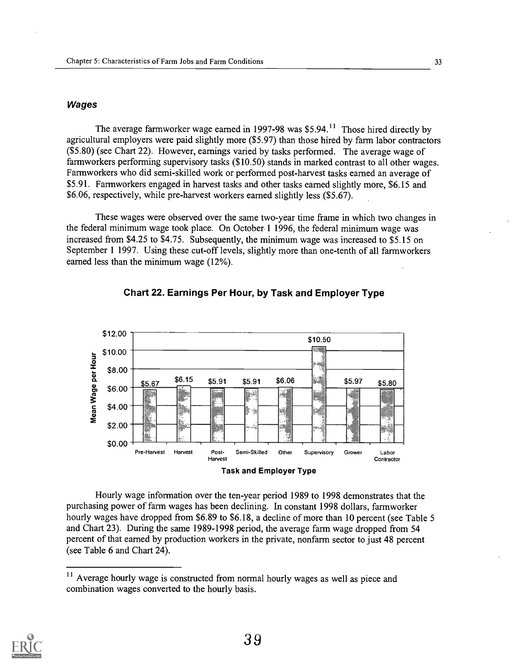#### **Wages**

The average farmworker wage earned in 1997-98 was \$5.94.<sup>11</sup> Those hired directly by agricultural employers were paid slightly more (\$5.97) than those hired by farm labor contractors (\$5.80) (see Chart 22). However, earnings varied by tasks performed. The average wage of farmworkers performing supervisory tasks (\$10.50) stands in marked contrast to all other wages. Farmworkers who did semi-skilled work or performed post-harvest tasks earned an average of \$5.91. Farmworkers engaged in harvest tasks and other tasks earned slightly more, \$6.15 and \$6.06, respectively, while pre-harvest workers earned slightly less (\$5.67).

These wages were observed over the same two-year time frame in which two changes in the federal minimum wage took place. On October 1 1996, the federal minimum wage was increased from \$4.25 to \$4.75. Subsequently, the minimum wage was increased to \$5.15 on September 1 1997. Using these cut-off levels, slightly more than one-tenth of all farmworkers earned less than the minimum wage (12%).

![](_page_38_Figure_4.jpeg)

![](_page_38_Figure_5.jpeg)

Hourly wage information over the ten-year period 1989 to 1998 demonstrates that the purchasing power of farm wages has been declining. In constant 1998 dollars, farmworker hourly wages have dropped from \$6.89 to \$6.18, a decline of more than 10 percent (see Table 5 and Chart 23). During the same 1989-1998 period, the average farm wage dropped from 54 percent of that earned by production workers in the private, nonfarm sector to just 48 percent (see Table 6 and Chart 24).

![](_page_38_Picture_8.jpeg)

<sup>&</sup>lt;sup>11</sup> Average hourly wage is constructed from normal hourly wages as well as piece and combination wages converted to the hourly basis.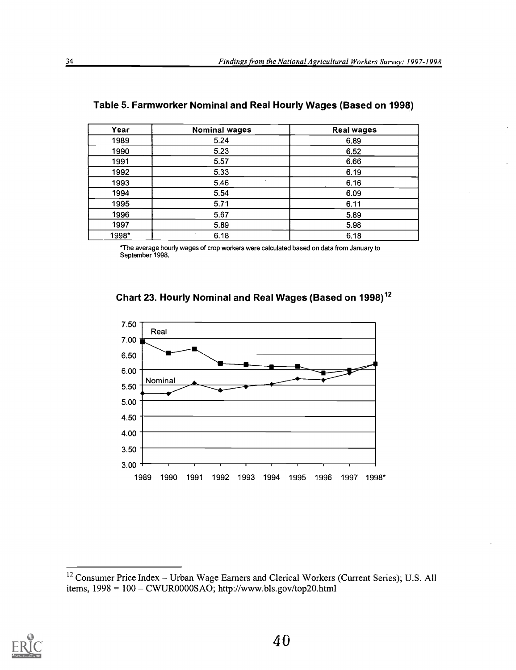| Year  | <b>Nominal wages</b> | <b>Real wages</b> |
|-------|----------------------|-------------------|
| 1989  | 5.24                 | 6.89              |
| 1990  | 5.23                 | 6.52              |
| 1991  | 5.57                 | 6.66              |
| 1992  | 5.33                 | 6.19              |
| 1993  | $\sim$<br>5.46       | 6.16              |
| 1994  | 5.54                 | 6.09              |
| 1995  | 5.71                 | 6.11              |
| 1996  | 5.67                 | 5.89              |
| 1997  | 5.89                 | 5.98              |
| 1998* | 6.18                 | 6.18              |

| Table 5. Farmworker Nominal and Real Hourly Wages (Based on 1998) |  |
|-------------------------------------------------------------------|--|
|-------------------------------------------------------------------|--|

\*The average hourly wages of crop workers were calculated based on data from January to September 1998.

![](_page_39_Figure_4.jpeg)

![](_page_39_Figure_5.jpeg)

![](_page_39_Picture_7.jpeg)

<sup>&</sup>lt;sup>12</sup> Consumer Price Index – Urban Wage Earners and Clerical Workers (Current Series); U.S. All items, 1998 = 100 - CWUR0000SAO; http://www.bls.gov/top20.html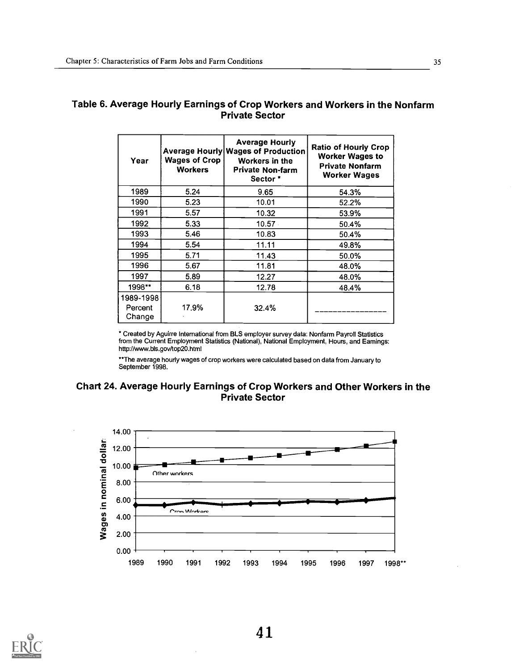# Table 6. Average Hourly Earnings of Crop Workers and Workers in the Nonfarm Private Sector

| Year                           | <b>Wages of Crop</b><br><b>Workers</b> | <b>Average Hourly</b><br>Average Hourly Wages of Production<br>Workers in the<br><b>Private Non-farm</b><br>Sector * | <b>Ratio of Hourly Crop</b><br><b>Worker Wages to</b><br>Private Nonfarm<br><b>Worker Wages</b> |
|--------------------------------|----------------------------------------|----------------------------------------------------------------------------------------------------------------------|-------------------------------------------------------------------------------------------------|
| 1989                           | 5.24                                   | 9.65                                                                                                                 | 54.3%                                                                                           |
| 1990                           | 5.23                                   | 10.01                                                                                                                | 52.2%                                                                                           |
| 1991                           | 5.57                                   | 10.32                                                                                                                | 53.9%                                                                                           |
| 1992                           | 5.33                                   | $10.57$ .                                                                                                            | 50.4%                                                                                           |
| 1993                           | 5.46                                   | 10.83                                                                                                                | 50.4%                                                                                           |
| 1994                           | 5.54                                   | 11.11                                                                                                                | 49.8%                                                                                           |
| 1995                           | 5.71                                   | 11.43                                                                                                                | 50.0%                                                                                           |
| 1996                           | 5.67                                   | 11.81                                                                                                                | 48.0%                                                                                           |
| 1997                           | 5.89                                   | 12.27                                                                                                                | 48.0%                                                                                           |
| 1998**                         | 6.18                                   | 12.78                                                                                                                | 48.4%                                                                                           |
| 1989-1998<br>Percent<br>Change | 17.9%                                  | 32.4%                                                                                                                |                                                                                                 |

" Created by Aguirre International from BLS employer survey data: Nonfarm Payroll Statistics from the Current Employment Statistics (National), National Employment, Hours, and Earnings: http://www.b1s.gov/top20.html

\*\*The average hourly wages of crop workers were calculated based on data from January to September 1998.

# Chart 24. Average Hourly Earnings of Crop Workers and Other Workers in the Private Sector

![](_page_40_Figure_6.jpeg)

![](_page_40_Picture_7.jpeg)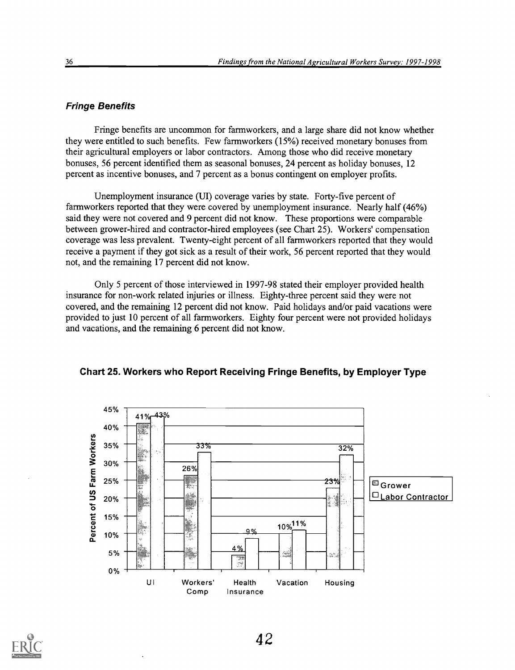#### Fringe Benefits

Fringe benefits are uncommon for farmworkers, and a large share did not know whether they were entitled to such benefits. Few farmworkers (15%) received monetary bonuses from their agricultural employers or labor contractors. Among those who did receive monetary bonuses, 56 percent identified them as seasonal bonuses, 24 percent as holiday bonuses, 12 percent as incentive bonuses, and 7 percent as a bonus contingent on employer profits.

Unemployment insurance (UI) coverage varies by state. Forty-five percent of farmworkers reported that they were covered by unemployment insurance. Nearly half (46%) said they were not covered and 9 percent did not know. These proportions were comparable between grower-hired and contractor-hired employees (see Chart 25). Workers' compensation coverage was less prevalent. Twenty-eight percent of all farmworkers reported that they would receive a payment if they got sick as a result of their work, 56 percent reported that they would not, and the remaining 17 percent did not know.

Only 5 percent of those interviewed in 1997-98 stated their employer provided health insurance for non-work related injuries or illness. Eighty-three percent said they were not covered, and the remaining 12 percent did not know. Paid holidays and/or paid vacations were provided to just 10 percent of all farmworkers. Eighty four percent were not provided holidays and vacations, and the remaining 6 percent did not know.

![](_page_41_Figure_5.jpeg)

Chart 25. Workers who Report Receiving Fringe Benefits, by Employer Type

![](_page_41_Picture_7.jpeg)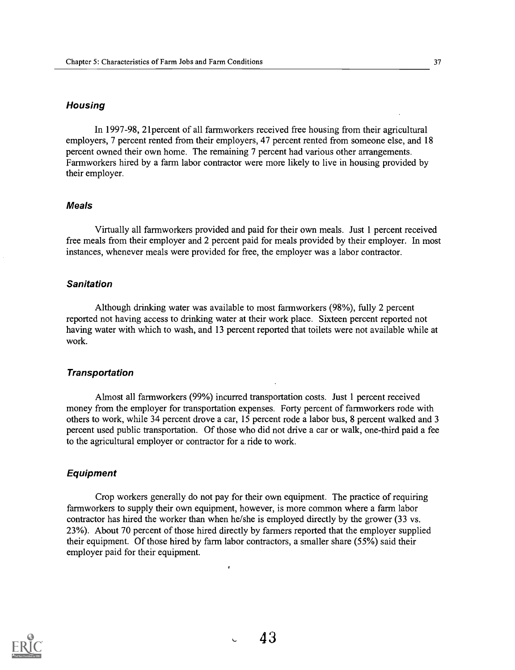#### **Housing**

In 1997-98, 2lpercent of all farmworkers received free housing from their agricultural employers, 7 percent rented from their employers, 47 percent rented from someone else, and 18 percent owned their own home. The remaining 7 percent had various other arrangements. Farmworkers hired by a farm labor contractor were more likely to live in housing provided by their employer.

#### Meals

Virtually all farmworkers provided and paid for their own meals. Just 1 percent received free meals from their employer and 2 percent paid for meals provided by their employer. In most instances, whenever meals were provided for free, the employer was a labor contractor.

#### **Sanitation**

Although drinking water was available to most farmworkers (98%), fully 2 percent reported not having access to drinking water at their work place. Sixteen percent reported not having water with which to wash, and 13 percent reported that toilets were not available while at work.

#### **Transportation**

Almost all farmworkers (99%) incurred transportation costs. Just 1 percent received money from the employer for transportation expenses. Forty percent of farmworkers rode with others to work, while 34 percent drove a car, 15 percent rode a labor bus, 8 percent walked and 3 percent used public transportation. Of those who did not drive a car or walk, one-third paid a fee to the agricultural employer or contractor for a ride to work.

#### Equipment

Crop workers generally do not pay for their own equipment. The practice of requiring farmworkers to supply their own equipment, however, is more common where a farm labor contractor has hired the worker than when he/she is employed directly by the grower (33 vs. 23%). About 70 percent of those hired directly by farmers reported that the employer supplied their equipment. Of those hired by farm labor contractors, a smaller share (55%) said their employer paid for their equipment.

![](_page_42_Picture_11.jpeg)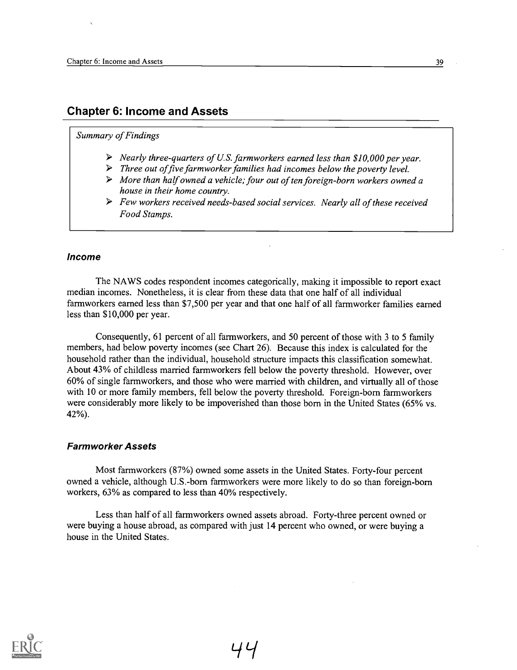# Chapter 6: Income and Assets

#### Summary of Findings

- $\triangleright$  Nearly three-quarters of U.S. farmworkers earned less than \$10,000 per year.
- $\triangleright$  Three out of five farmworker families had incomes below the poverty level.
- > More than half owned a vehicle; four out of ten foreign-born workers owned a house in their home country.
- $\triangleright$  Few workers received needs-based social services. Nearly all of these received Food Stamps.

#### Income

The NAWS codes respondent incomes categorically, making it impossible to report exact median incomes. Nonetheless, it is clear from these data that one half of all individual farmworkers earned less than \$7,500 per year and that one half of all farmworker families earned less than \$10,000 per year.

Consequently, 61 percent of all farmworkers, and 50 percent of those with 3 to 5 family members, had below poverty incomes (see Chart 26). Because this index is calculated for the household rather than the individual, household structure impacts this classification somewhat. About 43% of childless married farmworkers fell below the poverty threshold. However, over 60% of single farmworkers, and those who were married with children, and virtually all of those with 10 or more family members, fell below the poverty threshold. Foreign-born farmworkers were considerably more likely to be impoverished than those born in the United States (65% vs. 42%).

#### Farm worker Assets

Most farmworkers (87%) owned some assets in the United States. Forty-four percent owned a vehicle, although U.S.-born farmworkers were more likely to do so than foreign-born workers, 63% as compared to less than 40% respectively.

Less than half of all farmworkers owned assets abroad. Forty-three percent owned or were buying a house abroad, as compared with just 14 percent who owned, or were buying a house in the United States.

![](_page_43_Picture_13.jpeg)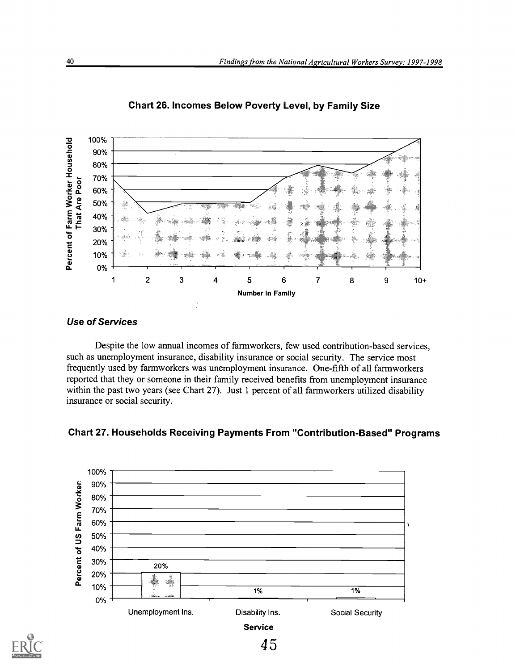![](_page_44_Figure_1.jpeg)

Chart 26. Incomes Below Poverty Level, by Family Size

# Use of Services

Despite the low annual incomes of farmworkers, few used contribution-based services, such as unemployment insurance, disability insurance or social security. The service most frequently used by farmworkers was unemployment insurance. One-fifth of all farmworkers reported that they or someone in their family received benefits from unemployment insurance within the past two years (see Chart 27). Just 1 percent of all farmworkers utilized disability insurance or social security.

![](_page_44_Figure_5.jpeg)

![](_page_44_Figure_6.jpeg)

![](_page_44_Picture_7.jpeg)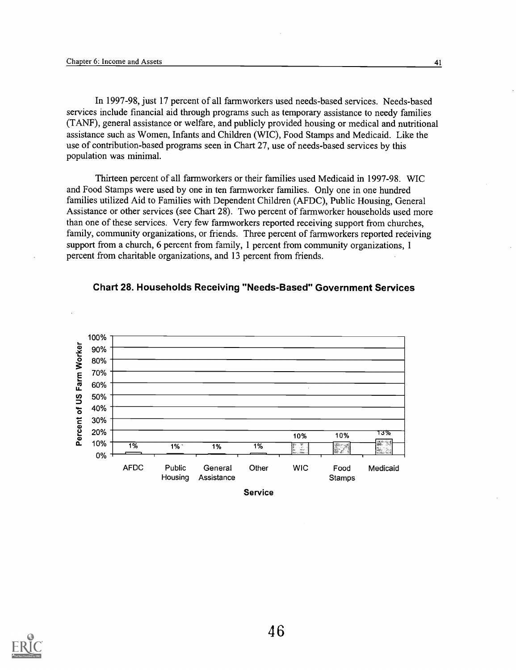In 1997-98, just 17 percent of all farmworkers used needs-based services. Needs-based services include financial aid through programs such as temporary assistance to needy families (TANF), general assistance or welfare, and publicly provided housing or medical and nutritional assistance such as Women, Infants and Children (WIC), Food Stamps and Medicaid. Like the use of contribution-based programs seen in Chart 27, use of needs-based services by this population was minimal.

Thirteen percent of all farmworkers or their families used Medicaid in 1997-98. WIC and Food Stamps were used by one in ten farmworker families. Only one in one hundred families utilized Aid to Families with Dependent Children (AFDC), Public Housing, General Assistance or other services (see Chart 28). Two percent of farmworker households used more than one of these services. Very few farmworkers reported receiving support from churches, family, community organizations, or friends. Three percent of farmworkers reported receiving support from a church, 6 percent from family, 1 percent from community organizations, 1 percent from charitable organizations, and 13 percent from friends.

![](_page_45_Figure_3.jpeg)

#### Chart 28. Households Receiving "Needs-Based" Government Services

![](_page_45_Picture_5.jpeg)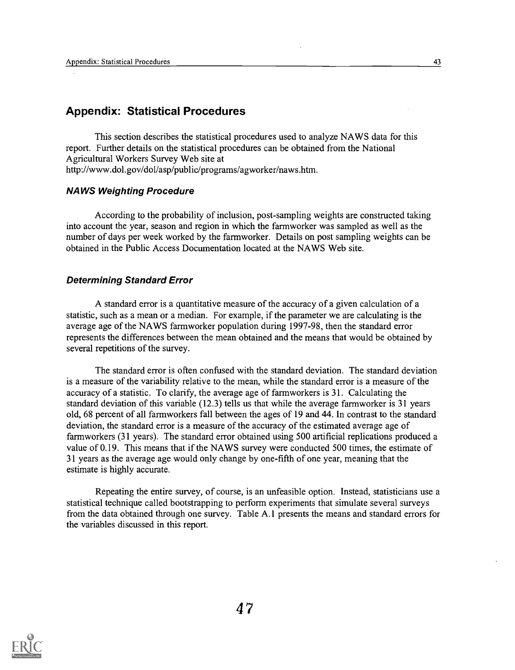# Appendix: Statistical Procedures

This section describes the statistical procedures used to analyze NAWS data for this report. Further details on the statistical procedures can be obtained from the National Agricultural Workers Survey Web site at http://www.dol.govidol/asp/public/programs/agworker/naws.htm.

#### NAWS Weighting Procedure

According to the probability of inclusion, post-sampling weights are constructed taking into account the year, season and region in which the farmworker was sampled as well as the number of days per week worked by the farmworker. Details on post sampling weights can be obtained in the Public Access Documentation located at the NAWS Web site.

#### Determining Standard Error

A standard error is a quantitative measure of the accuracy of a given calculation of a statistic, such as a mean or a median. For example, if the parameter we are calculating is the average age of the NAWS farmworker population during 1997-98, then the standard error represents the differences between the mean obtained and the means that would be obtained by several repetitions of the survey.

The standard error is often confused with the standard deviation. The standard deviation is a measure of the variability relative to the mean, while the standard error is a measure of the accuracy of a statistic. To clarify, the average age of farmworkers is 31. Calculating the standard deviation of this variable (12.3) tells us that while the average farmworker is 31 years old, 68 percent of all farmworkers fall between the ages of 19 and 44. In contrast to the standard deviation, the standard error is a measure of the accuracy of the estimated average age of farmworkers (31 years). The standard error obtained using 500 artificial replications produced a value of 0.19. This means that if the NAWS survey were conducted 500 times, the estimate of 31 years as the average age would only change by one-fifth of one year, meaning that the estimate is highly accurate.

Repeating the entire survey, of course, is an unfeasible option. Instead, statisticians use a statistical technique called bootstrapping to perform experiments that simulate several surveys from the data obtained through one survey. Table A.1 presents the means and standard errors for the variables discussed in this report.

![](_page_46_Picture_9.jpeg)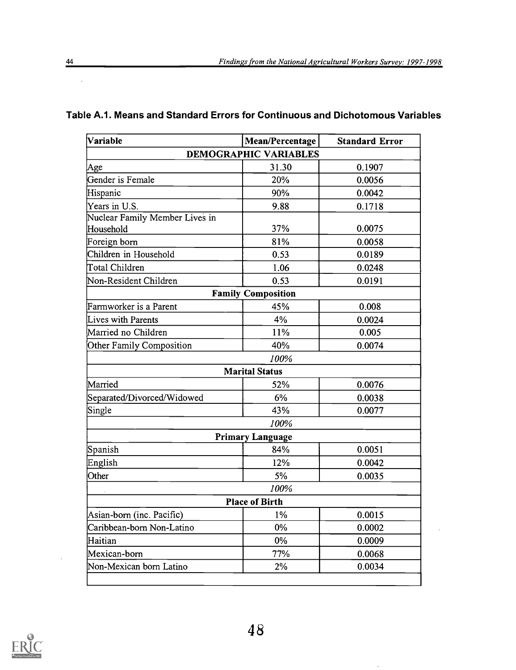$\ddot{\phantom{a}}$ 

 $\ddot{\phantom{0}}$ 

| Variable                       | Mean/Percentage              | <b>Standard Error</b> |
|--------------------------------|------------------------------|-----------------------|
|                                | <b>DEMOGRAPHIC VARIABLES</b> |                       |
| Age                            | 31.30                        | 0.1907                |
| Gender is Female               | 20%                          | 0.0056                |
| Hispanic                       | 90%                          | 0.0042                |
| Years in U.S.                  | 9.88                         | 0.1718                |
| Nuclear Family Member Lives in |                              |                       |
| Household                      | 37%                          | 0.0075                |
| Foreign born                   | 81%                          | 0.0058                |
| Children in Household          | 0.53                         | 0.0189                |
| Total Children                 | 1.06                         | 0.0248                |
| Non-Resident Children          | 0.53                         | 0.0191                |
|                                | <b>Family Composition</b>    |                       |
| Farmworker is a Parent         | 45%                          | 0.008                 |
| Lives with Parents             | 4%                           | 0.0024                |
| Married no Children            | 11%                          | 0.005                 |
| Other Family Composition       | 40%                          | 0.0074                |
|                                | 100%                         |                       |
|                                | <b>Marital Status</b>        |                       |
| Married                        | 52%                          | 0.0076                |
| Separated/Divorced/Widowed     | 6%                           | 0.0038                |
| Single                         | 43%                          | 0.0077                |
|                                | 100%                         |                       |
|                                | <b>Primary Language</b>      |                       |
| Spanish                        | 84%                          | 0.0051                |
| English                        | 12%                          | 0.0042                |
| Other                          | 5%                           | 0.0035                |
|                                | 100%                         |                       |
|                                | <b>Place of Birth</b>        |                       |
| Asian-born (inc. Pacific)      | $1\%$                        | 0.0015                |
| Caribbean-born Non-Latino      | $0\%$                        | 0.0002                |
| Haitian                        | 0%                           | 0.0009                |
| Mexican-born                   | 77%                          | 0.0068                |
| Non-Mexican born Latino        | 2%                           | 0.0034                |

# Table A.1. Means and Standard Errors for Continuous and Dichotomous Variables

![](_page_47_Picture_3.jpeg)

 $\sim$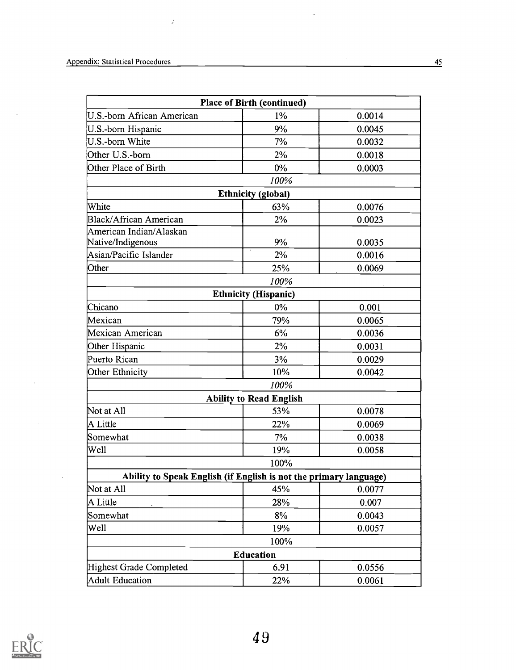$\sim$ 

 $\hat{\vec{z}}$ 

|                                                                   | <b>Place of Birth (continued)</b> |        |
|-------------------------------------------------------------------|-----------------------------------|--------|
| U.S.-born African American                                        | $1\%$                             | 0.0014 |
| U.S.-born Hispanic                                                | 9%                                | 0.0045 |
| U.S.-born White                                                   | 7%                                | 0.0032 |
| Other U.S.-born                                                   | 2%                                | 0.0018 |
| Other Place of Birth                                              | $0\%$                             | 0.0003 |
|                                                                   | 100%                              |        |
|                                                                   | <b>Ethnicity</b> (global)         |        |
| White                                                             | 63%                               | 0.0076 |
| <b>Black/African American</b>                                     | 2%                                | 0.0023 |
| American Indian/Alaskan                                           |                                   |        |
| Native/Indigenous                                                 | 9%                                | 0.0035 |
| Asian/Pacific Islander                                            | 2%                                | 0.0016 |
| Other                                                             | 25%                               | 0.0069 |
|                                                                   | 100%                              |        |
|                                                                   | <b>Ethnicity (Hispanic)</b>       |        |
| Chicano                                                           | $0\%$                             | 0.001  |
| Mexican                                                           | 79%                               | 0.0065 |
| Mexican American                                                  | 6%                                | 0.0036 |
| Other Hispanic                                                    | 2%                                | 0.0031 |
| Puerto Rican                                                      | 3%                                | 0.0029 |
| Other Ethnicity                                                   | 10%                               | 0.0042 |
|                                                                   | 100%                              |        |
|                                                                   | <b>Ability to Read English</b>    |        |
| Not at All                                                        | 53%                               | 0.0078 |
| A Little                                                          | 22%                               | 0.0069 |
| Somewhat                                                          | 7%                                | 0.0038 |
| Well                                                              | 19%                               | 0.0058 |
|                                                                   | 100%                              |        |
| Ability to Speak English (if English is not the primary language) |                                   |        |
| Not at All                                                        | 45%                               | 0.0077 |
| A Little                                                          | 28%                               | 0.007  |
| Somewhat                                                          | 8%                                | 0.0043 |
| Well                                                              | 19%                               | 0.0057 |
|                                                                   | 100%                              |        |
|                                                                   | <b>Education</b>                  |        |
| Highest Grade Completed                                           | 6.91                              | 0.0556 |
| <b>Adult Education</b>                                            | 22%                               | 0.0061 |

 $\frac{1}{\sqrt{2}}$ 

![](_page_48_Picture_2.jpeg)

 $\sim$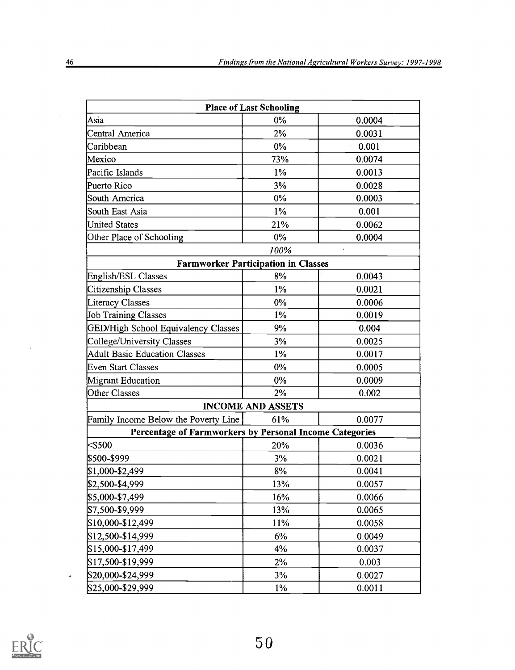|                                                         | <b>Place of Last Schooling</b> |        |
|---------------------------------------------------------|--------------------------------|--------|
| Asia                                                    | 0%                             | 0.0004 |
| Central America                                         | 2%                             | 0.0031 |
| Caribbean                                               | $0\%$                          | 0.001  |
| Mexico                                                  | 73%                            | 0.0074 |
| Pacific Islands                                         | $1\%$                          | 0.0013 |
| Puerto Rico                                             | 3%                             | 0.0028 |
| South America                                           | $0\%$                          | 0.0003 |
| South East Asia                                         | $1\%$                          | 0.001  |
| <b>United States</b>                                    | 21%                            | 0.0062 |
| Other Place of Schooling                                | $0\%$                          | 0.0004 |
|                                                         | 100%                           |        |
| <b>Farmworker Participation in Classes</b>              |                                |        |
| English/ESL Classes                                     | 8%                             | 0.0043 |
| Citizenship Classes                                     | $1\%$                          | 0.0021 |
| Literacy Classes                                        | 0%                             | 0.0006 |
| <b>Job Training Classes</b>                             | $1\%$                          | 0.0019 |
| GED/High School Equivalency Classes                     | 9%                             | 0.004  |
| College/University Classes                              | 3%                             | 0.0025 |
| <b>Adult Basic Education Classes</b>                    | $1\%$                          | 0.0017 |
| <b>Even Start Classes</b>                               | 0%                             | 0.0005 |
| <b>Migrant Education</b>                                | $0\%$                          | 0.0009 |
| Other Classes                                           | 2%                             | 0.002  |
|                                                         | <b>INCOME AND ASSETS</b>       |        |
| Family Income Below the Poverty Line                    | 61%                            | 0.0077 |
| Percentage of Farmworkers by Personal Income Categories |                                |        |
| $<$ \$500                                               | 20%                            | 0.0036 |
| \$500-\$999                                             | 3%                             | 0.0021 |
| \$1,000-\$2,499                                         | 8%                             | 0.0041 |
| \$2,500-\$4,999                                         | 13%                            | 0.0057 |
| \$5,000-\$7,499                                         | 16%                            | 0.0066 |
| \$7,500-\$9,999                                         | 13%                            | 0.0065 |
| \$10,000-\$12,499                                       | 11%                            | 0.0058 |
| \$12,500-\$14,999                                       | 6%                             | 0.0049 |
| \$15,000-\$17,499                                       | 4%                             | 0.0037 |
| \$17,500-\$19,999                                       | 2%                             | 0.003  |
| \$20,000-\$24,999                                       | 3%                             | 0.0027 |
| \$25,000-\$29,999                                       | $1\%$                          | 0.0011 |

![](_page_49_Picture_2.jpeg)

 $\ddot{\phantom{0}}$ 

 $\bar{\gamma}$ 

 $\bar{\lambda}$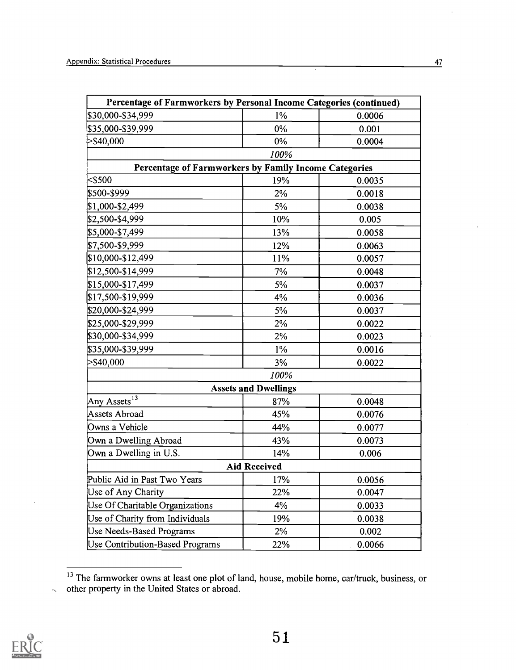| Percentage of Farmworkers by Personal Income Categories (continued) |                             |        |
|---------------------------------------------------------------------|-----------------------------|--------|
| \$30,000-\$34,999                                                   | $1\%$                       | 0.0006 |
| \$35,000-\$39,999                                                   | $0\%$                       | 0.001  |
| $>$ \$40,000                                                        | 0%                          | 0.0004 |
|                                                                     | 100%                        |        |
| Percentage of Farmworkers by Family Income Categories               |                             |        |
| $<$ \$500                                                           | 19%                         | 0.0035 |
| \$500-\$999                                                         | 2%                          | 0.0018 |
| \$1,000-\$2,499                                                     | 5%                          | 0.0038 |
| \$2,500-\$4,999                                                     | 10%                         | 0.005  |
| \$5,000-\$7,499                                                     | 13%                         | 0.0058 |
| \$7,500-\$9,999                                                     | 12%                         | 0.0063 |
| \$10,000-\$12,499                                                   | 11%                         | 0.0057 |
| \$12,500-\$14,999                                                   | 7%                          | 0.0048 |
| \$15,000-\$17,499                                                   | 5%                          | 0.0037 |
| \$17,500-\$19,999                                                   | 4%                          | 0.0036 |
| \$20,000-\$24,999                                                   | 5%                          | 0.0037 |
| \$25,000-\$29,999                                                   | 2%                          | 0.0022 |
| \$30,000-\$34,999                                                   | 2%                          | 0.0023 |
| \$35,000-\$39,999                                                   | $1\%$                       | 0.0016 |
| $>$ \$40,000                                                        | 3%                          | 0.0022 |
|                                                                     | 100%                        |        |
|                                                                     | <b>Assets and Dwellings</b> |        |
| Any Assets <sup>13</sup>                                            | 87%                         | 0.0048 |
| <b>Assets Abroad</b>                                                | 45%                         | 0.0076 |
| Owns a Vehicle                                                      | 44%                         | 0.0077 |
| Own a Dwelling Abroad                                               | 43%                         | 0.0073 |
| Own a Dwelling in U.S.                                              | 14%                         | 0.006  |
|                                                                     | <b>Aid Received</b>         |        |
| Public Aid in Past Two Years                                        | 17%                         | 0.0056 |
| Use of Any Charity                                                  | 22%                         | 0.0047 |
| Use Of Charitable Organizations                                     | 4%                          | 0.0033 |
| Use of Charity from Individuals                                     | 19%                         | 0.0038 |
| Use Needs-Based Programs                                            | 2%                          | 0.002  |
| <b>Use Contribution-Based Programs</b>                              | 22%                         | 0.0066 |

<sup>&</sup>lt;sup>13</sup> The farmworker owns at least one plot of land, house, mobile home, car/truck, business, or  $\sim$  other property in the United States or abroad.

![](_page_50_Picture_3.jpeg)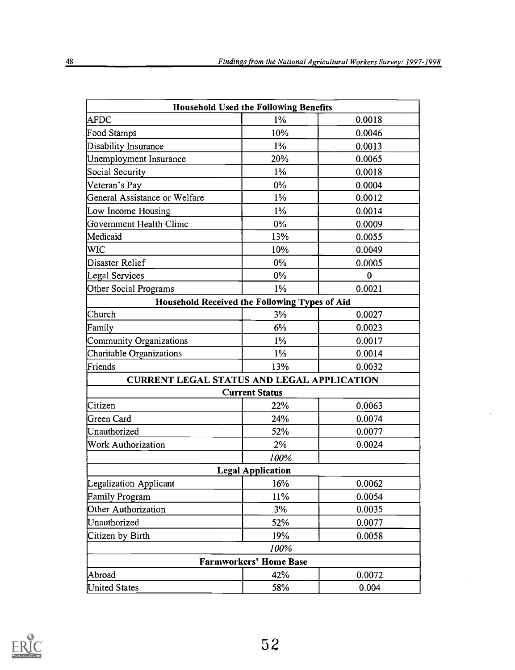|                                                   | <b>Household Used the Following Benefits</b>  |             |
|---------------------------------------------------|-----------------------------------------------|-------------|
| <b>AFDC</b>                                       | $1\%$                                         | 0.0018      |
| Food Stamps                                       | 10%                                           | 0.0046      |
| Disability Insurance                              | $1\%$                                         | 0.0013      |
| Unemployment Insurance                            | 20%                                           | 0.0065      |
| Social Security                                   | $1\%$                                         | 0.0018      |
| Veteran's Pay                                     | $0\%$                                         | 0.0004      |
| General Assistance or Welfare                     | $1\%$                                         | 0.0012      |
| Low Income Housing                                | $1\%$                                         | 0.0014      |
| Government Health Clinic                          | $0\%$                                         | 0.0009      |
| Medicaid                                          | 13%                                           | 0.0055      |
| WIC                                               | 10%                                           | 0.0049      |
| Disaster Relief                                   | $0\%$                                         | 0.0005      |
| Legal Services                                    | 0%                                            | $\mathbf 0$ |
| Other Social Programs                             | 1%                                            | 0.0021      |
|                                                   | Household Received the Following Types of Aid |             |
| Church                                            | 3%                                            | 0.0027      |
| Family                                            | 6%                                            | 0.0023      |
| <b>Community Organizations</b>                    | $1\%$                                         | 0.0017      |
| Charitable Organizations                          | 1%                                            | 0.0014      |
| Friends                                           | 13%                                           | 0.0032      |
| <b>CURRENT LEGAL STATUS AND LEGAL APPLICATION</b> |                                               |             |
|                                                   | <b>Current Status</b>                         |             |
| Citizen                                           | 22%                                           | 0.0063      |
| Green Card                                        | 24%                                           | 0.0074      |
| Unauthorized                                      | 52%                                           | 0.0077      |
| <b>Work Authorization</b>                         | 2%                                            | 0.0024      |
|                                                   | 100%                                          |             |
|                                                   | <b>Legal Application</b>                      |             |
| Legalization Applicant                            | 16%                                           | 0.0062      |
| <b>Family Program</b>                             | 11%                                           | 0.0054      |
| Other Authorization                               | 3%                                            | 0.0035      |
| Unauthorized                                      | 52%                                           | 0.0077      |
| Citizen by Birth                                  | 19%                                           | 0.0058      |
|                                                   | 100%                                          |             |
|                                                   | <b>Farmworkers' Home Base</b>                 |             |
| Abroad                                            | 42%                                           | 0.0072      |
| <b>United States</b>                              | 58%                                           | 0.004       |

![](_page_51_Picture_2.jpeg)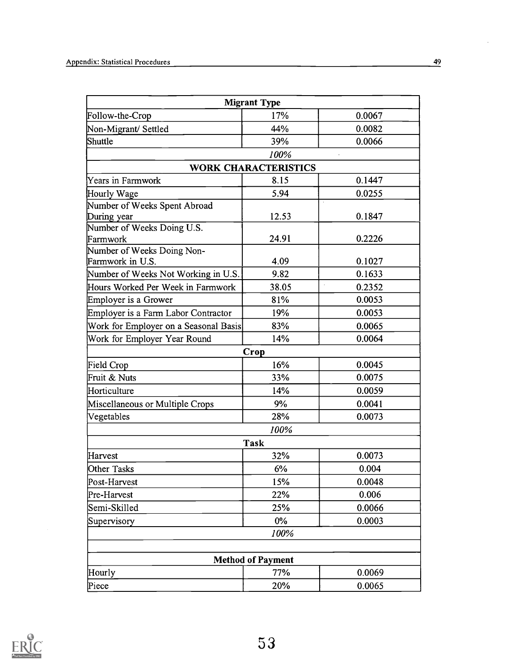|                                       | <b>Migrant Type</b>         |                     |
|---------------------------------------|-----------------------------|---------------------|
| Follow-the-Crop                       | 17%                         | 0.0067              |
| Non-Migrant/Settled                   | 44%                         | 0.0082              |
| Shuttle                               | 39%                         | 0.0066              |
|                                       | 100%                        |                     |
|                                       | <b>WORK CHARACTERISTICS</b> |                     |
| Years in Farmwork                     | 8.15                        | 0.1447              |
| Hourly Wage                           | 5.94                        | 0.0255              |
| Number of Weeks Spent Abroad          |                             |                     |
| During year                           | 12.53                       | 0.1847              |
| Number of Weeks Doing U.S.            |                             |                     |
| Farmwork                              | 24.91                       | 0.2226              |
| Number of Weeks Doing Non-            |                             |                     |
| Farmwork in U.S.                      | 4.09                        | 0.1027              |
| Number of Weeks Not Working in U.S.   | 9.82                        | 0.1633              |
| Hours Worked Per Week in Farmwork     | 38.05                       | $\bar{z}$<br>0.2352 |
| Employer is a Grower                  | 81%                         | 0.0053              |
| Employer is a Farm Labor Contractor   | 19%                         | 0.0053              |
| Work for Employer on a Seasonal Basis | 83%                         | 0.0065              |
| Work for Employer Year Round          | 14%                         | 0.0064              |
|                                       | Crop                        |                     |
| Field Crop                            | 16%                         | 0.0045              |
| Fruit & Nuts                          | 33%                         | 0.0075              |
| Horticulture                          | 14%                         | 0.0059              |
| Miscellaneous or Multiple Crops       | 9%                          | 0.0041              |
| Vegetables                            | 28%                         | 0.0073              |
|                                       | 100%                        |                     |
|                                       | <b>Task</b>                 |                     |
| Harvest                               | 32%                         | 0.0073              |
| Other Tasks                           | 6%                          | 0.004               |
| Post-Harvest                          | 15%                         | 0.0048              |
| Pre-Harvest                           | 22%                         | 0.006               |
| Semi-Skilled                          | 25%                         | 0.0066              |
| Supervisory                           | $0\%$                       | 0.0003              |
|                                       | 100%                        |                     |
|                                       |                             |                     |
|                                       | <b>Method of Payment</b>    |                     |
| Hourly                                | 77%                         | 0.0069              |
| Piece                                 | 20%                         | 0.0065              |

![](_page_52_Picture_2.jpeg)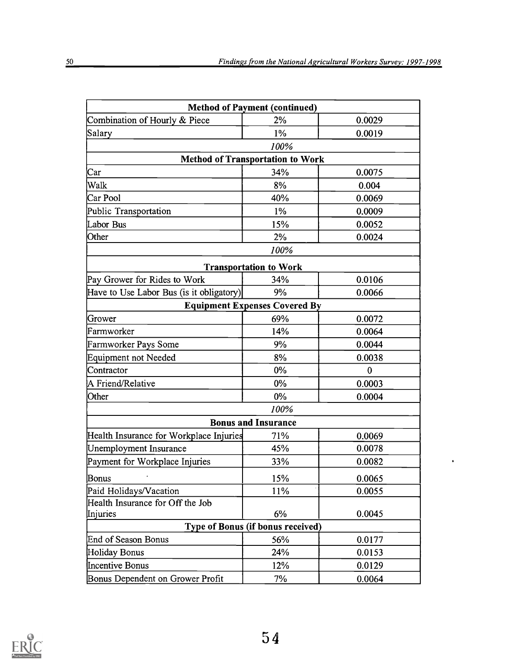$\hat{\textbf{r}}$ 

| <b>Method of Payment (continued)</b>     |                               |              |
|------------------------------------------|-------------------------------|--------------|
| Combination of Hourly & Piece            | 2%                            | 0.0029       |
| Salary                                   | $1\%$                         | 0.0019       |
|                                          | 100%                          |              |
| <b>Method of Transportation to Work</b>  |                               |              |
| $\rm Car$                                | 34%                           | 0.0075       |
| Walk                                     | 8%                            | 0.004        |
| Car Pool                                 | 40%                           | 0.0069       |
| Public Transportation                    | $1\%$                         | 0.0009       |
| Labor Bus                                | 15%                           | 0.0052       |
| Other                                    | 2%                            | 0.0024       |
|                                          | 100%                          |              |
|                                          | <b>Transportation to Work</b> |              |
| Pay Grower for Rides to Work             | 34%                           | 0.0106       |
| Have to Use Labor Bus (is it obligatory) | 9%                            | 0.0066       |
| <b>Equipment Expenses Covered By</b>     |                               |              |
| Grower                                   | 69%                           | 0.0072       |
| Farmworker                               | 14%                           | 0.0064       |
| Farmworker Pays Some                     | 9%                            | 0.0044       |
| Equipment not Needed                     | 8%                            | 0.0038       |
| Contractor                               | 0%                            | $\mathbf{0}$ |
| A Friend/Relative                        | 0%                            | 0.0003       |
| Other                                    | $0\%$                         | 0.0004       |
|                                          | 100%                          |              |
|                                          | <b>Bonus and Insurance</b>    |              |
| Health Insurance for Workplace Injuries  | 71%                           | 0.0069       |
| Unemployment Insurance                   | 45%                           | 0.0078       |
| Payment for Workplace Injuries           | 33%                           | 0.0082       |
| Bonus                                    | 15%                           | 0.0065       |
| Paid Holidays/Vacation                   | 11%                           | 0.0055       |
| Health Insurance for Off the Job         |                               |              |
| Injuries                                 | 6%                            | 0.0045       |
| <b>Type of Bonus (if bonus received)</b> |                               |              |
| End of Season Bonus                      | 56%                           | 0.0177       |
| Holiday Bonus                            | 24%                           | 0.0153       |
| <b>Incentive Bonus</b>                   | 12%                           | 0.0129       |
| Bonus Dependent on Grower Profit         | 7%                            | 0.0064       |

![](_page_53_Picture_2.jpeg)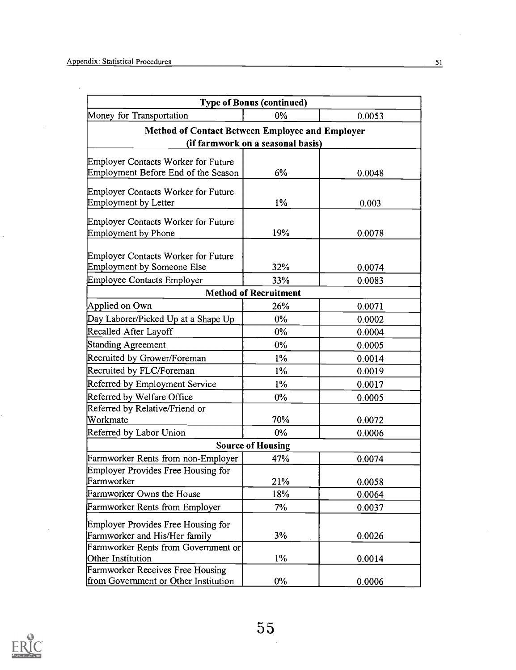$\mathcal{A}^{\mathcal{A}}$ 

ä,

|                                                                          | <b>Type of Bonus (continued)</b>  |        |
|--------------------------------------------------------------------------|-----------------------------------|--------|
| Money for Transportation                                                 | $0\%$                             | 0.0053 |
| <b>Method of Contact Between Employee and Employer</b>                   |                                   |        |
|                                                                          | (if farmwork on a seasonal basis) |        |
| <b>Employer Contacts Worker for Future</b>                               |                                   |        |
| Employment Before End of the Season                                      | 6%                                | 0.0048 |
|                                                                          |                                   |        |
| Employer Contacts Worker for Future                                      |                                   |        |
| Employment by Letter                                                     | $1\%$                             | 0.003  |
| Employer Contacts Worker for Future                                      |                                   |        |
| <b>Employment by Phone</b>                                               | 19%                               | 0.0078 |
|                                                                          |                                   |        |
| Employer Contacts Worker for Future<br><b>Employment by Someone Else</b> | 32%                               | 0.0074 |
| Employee Contacts Employer                                               | 33%                               | 0.0083 |
|                                                                          | <b>Method of Recruitment</b>      |        |
| Applied on Own                                                           | 26%                               | 0.0071 |
| Day Laborer/Picked Up at a Shape Up                                      | $0\%$                             | 0.0002 |
| Recalled After Layoff                                                    | $0\%$                             | 0.0004 |
| Standing Agreement                                                       | $0\%$                             | 0.0005 |
| Recruited by Grower/Foreman                                              | $1\%$                             | 0.0014 |
| Recruited by FLC/Foreman                                                 | $1\%$                             | 0.0019 |
| Referred by Employment Service                                           | $1\%$                             | 0.0017 |
| Referred by Welfare Office                                               | 0%                                | 0.0005 |
| Referred by Relative/Friend or                                           |                                   |        |
| Workmate                                                                 | 70%                               | 0.0072 |
| Referred by Labor Union                                                  | 0%                                | 0.0006 |
|                                                                          | <b>Source of Housing</b>          |        |
| Farmworker Rents from non-Employer                                       | 47%                               | 0.0074 |
| Employer Provides Free Housing for                                       |                                   |        |
| Farmworker                                                               | 21%                               | 0.0058 |
| Farmworker Owns the House                                                | 18%                               | 0.0064 |
| Farmworker Rents from Employer                                           | 7%                                | 0.0037 |
| Employer Provides Free Housing for                                       |                                   |        |
| Farmworker and His/Her family                                            | 3%                                | 0.0026 |
| Farmworker Rents from Government or                                      |                                   |        |
| Other Institution                                                        | $1\%$                             | 0.0014 |
| Farmworker Receives Free Housing                                         |                                   |        |
| from Government or Other Institution                                     | $0\%$                             | 0.0006 |

![](_page_54_Picture_2.jpeg)

 $\ddot{\phantom{a}}$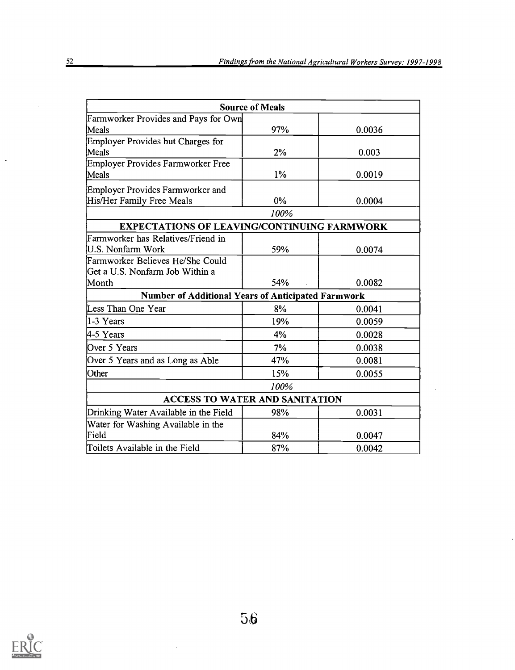|                                                           | <b>Source of Meals</b> |        |
|-----------------------------------------------------------|------------------------|--------|
| Farmworker Provides and Pays for Own                      |                        |        |
| Meals                                                     | 97%                    | 0.0036 |
| Employer Provides but Charges for                         |                        |        |
| Meals                                                     | 2%                     | 0.003  |
| Employer Provides Farmworker Free                         |                        |        |
| Meals                                                     | $1\%$                  | 0.0019 |
| Employer Provides Farmworker and                          |                        |        |
| His/Her Family Free Meals                                 | 0%                     | 0.0004 |
|                                                           | 100%                   |        |
| <b>EXPECTATIONS OF LEAVING/CONTINUING FARMWORK</b>        |                        |        |
| Farmworker has Relatives/Friend in                        |                        |        |
| U.S. Nonfarm Work                                         | 59%                    | 0.0074 |
| Farmworker Believes He/She Could                          |                        |        |
| Get a U.S. Nonfarm Job Within a                           |                        |        |
| Month                                                     | 54%                    | 0.0082 |
| <b>Number of Additional Years of Anticipated Farmwork</b> |                        |        |
| Less Than One Year                                        | 8%                     | 0.0041 |
| 11-3 Years                                                | 19%                    | 0.0059 |
| 4-5 Years                                                 | 4%                     | 0.0028 |
| Over 5 Years                                              | 7%                     | 0.0038 |
| Over 5 Years and as Long as Able                          | 47%                    | 0.0081 |
| Other                                                     | 15%                    | 0.0055 |
|                                                           | 100%                   |        |
| <b>ACCESS TO WATER AND SANITATION</b>                     |                        |        |
| Drinking Water Available in the Field                     | 98%                    | 0.0031 |
| Water for Washing Available in the                        |                        |        |
| Field                                                     | 84%                    | 0.0047 |
| Toilets Available in the Field                            | 87%                    | 0.0042 |

![](_page_55_Picture_2.jpeg)

t,

 $\ddot{\phantom{1}}$